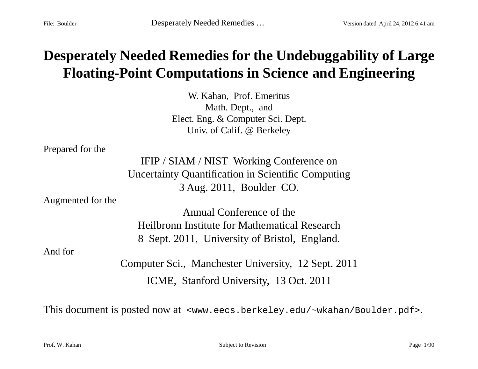## **Desperately Needed Remedies for the Undebuggability of Large Floating-Point Computations in Science and Engineering**

W. Kahan, Prof. Emeritus Math. Dept., and Elect. Eng. & Computer Sci. Dept. Univ. of Calif. @ Berkeley

Prepared for the

IFIP / SIAM / NIST Working Conference on Uncertainty Quantification in Scientific Computing 3 Aug. 2011, Boulder CO.

Augmented for the

Annual Conference of the Heilbronn Institute for Mathematical Research 8 Sept. 2011, University of Bristol, England.

And for

Computer Sci., Manchester University, 12 Sept. 2011 ICME, Stanford University, 13 Oct. 2011

This document is posted now at <www.eecs.berkeley.edu/~wkahan/Boulder.pdf>.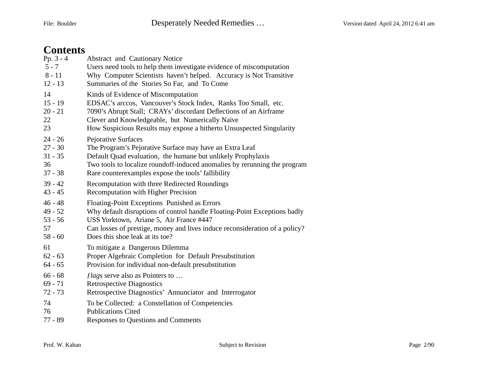#### **Contents**

| $Pp. 3 - 4$ | <b>Abstract and Cautionary Notice</b>                                       |
|-------------|-----------------------------------------------------------------------------|
| $5 - 7$     | Users need tools to help them investigate evidence of miscomputation        |
| $8 - 11$    | Why Computer Scientists haven't helped. Accuracy is Not Transitive          |
| $12 - 13$   | Summaries of the Stories So Far, and To Come                                |
| 14          | Kinds of Evidence of Miscomputation                                         |
| $15 - 19$   | EDSAC's arccos, Vancouver's Stock Index, Ranks Too Small, etc.              |
| $20 - 21$   | 7090's Abrupt Stall; CRAYs' discordant Deflections of an Airframe           |
| 22          | Clever and Knowledgeable, but Numerically Naive                             |
| 23          | How Suspicious Results may expose a hitherto Unsuspected Singularity        |
| $24 - 26$   | <b>Pejorative Surfaces</b>                                                  |
| $27 - 30$   | The Program's Pejorative Surface may have an Extra Leaf                     |
| $31 - 35$   | Default Quad evaluation, the humane but unlikely Prophylaxis                |
| 36          | Two tools to localize roundoff-induced anomalies by rerunning the program   |
| $37 - 38$   | Rare counterexamples expose the tools' fallibility                          |
| $39 - 42$   | Recomputation with three Redirected Roundings                               |
| $43 - 45$   | <b>Recomputation with Higher Precision</b>                                  |
| $46 - 48$   | Floating-Point Exceptions Punished as Errors                                |
| $49 - 52$   | Why default disruptions of control handle Floating-Point Exceptions badly   |
| $53 - 56$   | USS Yorktown, Ariane 5, Air France #447                                     |
| 57          | Can losses of prestige, money and lives induce reconsideration of a policy? |
| $58 - 60$   | Does this shoe leak at its toe?                                             |
| 61          | To mitigate a Dangerous Dilemma                                             |
| $62 - 63$   | Proper Algebraic Completion for Default Presubstitution                     |
| $64 - 65$   | Provision for individual non-default presubstitution                        |
| $66 - 68$   | <i>flags</i> serve also as Pointers to                                      |
| $69 - 71$   | <b>Retrospective Diagnostics</b>                                            |
| $72 - 73$   | Retrospective Diagnostics' Annunciator and Interrogator                     |
| 74          | To be Collected: a Constellation of Competencies                            |
| 76          | <b>Publications Cited</b>                                                   |
| $77 - 89$   | Responses to Questions and Comments                                         |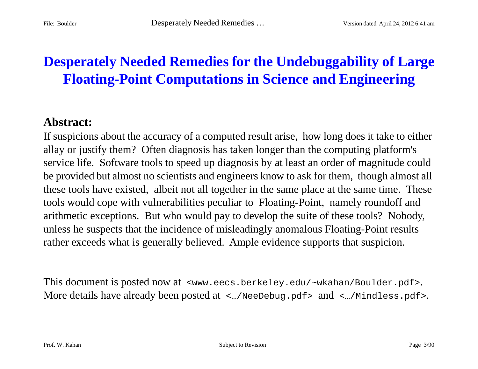## **Desperately Needed Remedies for the Undebuggability of Large Floating-Point Computations in Science and Engineering**

#### **Abstract:**

If suspicions about the accuracy of a computed result arise, how long does it take to either allay or justify them? Often diagnosis has taken longer than the computing platform's service life. Software tools to speed up diagnosis by at least an order of magnitude could be provided but almost no scientists and engineers know to ask for them, though almost all these tools have existed, albeit not all together in the same place at the same time. These tools would cope with vulnerabilities peculiar to Floating-Point, namely roundoff and arithmetic exceptions. But who would pay to develop the suite of these tools? Nobody, unless he suspects that the incidence of misleadingly anomalous Floating-Point results rather exceeds what is generally believed. Ample evidence supports that suspicion.

This document is posted now at <www.eecs.berkeley.edu/~wkahan/Boulder.pdf>. More details have already been posted at  $\langle ... / \text{NeeDebug.pdf} >$  and  $\langle ... / \text{Mindless.pdf} >$ .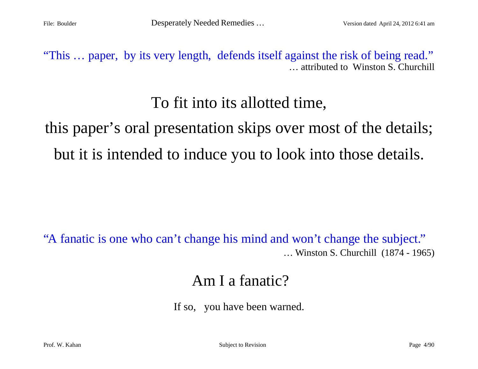"This … paper, by its very length, defends itself against the risk of being read." … attributed to Winston S. Churchill

## To fit into its allotted time,

# this paper's oral presentation skips over most of the details; but it is intended to induce you to look into those details.

"A fanatic is one who can't change his mind and won't change the subject." … Winston S. Churchill (1874 - 1965)

## Am I a fanatic?

If so, you have been warned.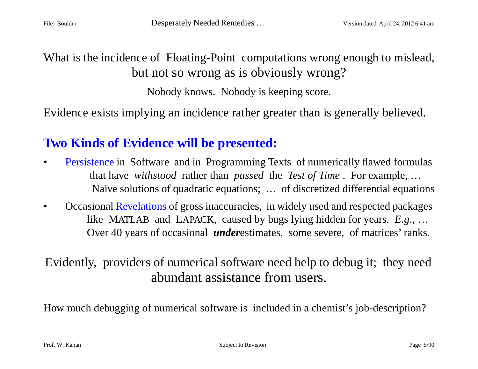What is the incidence of Floating-Point computations wrong enough to mislead, but not so wrong as is obviously wrong?

Nobody knows. Nobody is keeping score.

Evidence exists implying an incidence rather greater than is generally believed.

### **Two Kinds of Evidence will be presented:**

- $\bullet$  Persistence in Software and in Programming Texts of numerically flawed formulas that have *withstood* rather than *passed* the *Test of Time* . For example, … Naive solutions of quadratic equations; … of discretized differential equations
- $\bullet$  Occasional Revelations of gross inaccuracies, in widely used and respected packages like MATLAB and LAPACK, caused by bugs lying hidden for years. *E.g*., … Over 40 years of occasional *under*estimates, some severe, of matrices' ranks.

## Evidently, providers of numerical software need help to debug it; they need abundant assistance from users.

How much debugging of numerical software is included in a chemist's job-description?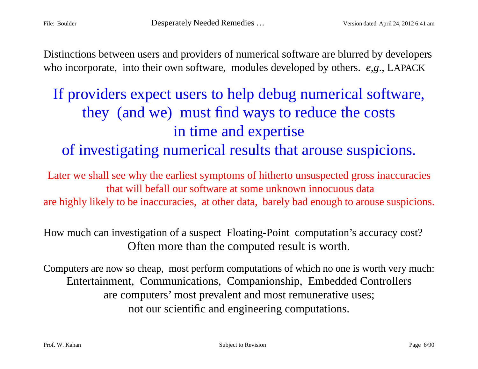Distinctions between users and providers of numerical software are blurred by developers who incorporate, into their own software, modules developed by others. *e,g*., LAPACK

## If providers expect users to help debug numerical software, they (and we) must find ways to reduce the costs in time and expertise of investigating numerical results that arouse suspicions.

Later we shall see why the earliest symptoms of hitherto unsuspected gross inaccuracies that will befall our software at some unknown innocuous data are highly likely to be inaccuracies, at other data, barely bad enough to arouse suspicions.

How much can investigation of a suspect Floating-Point computation's accuracy cost? Often more than the computed result is worth.

Computers are now so cheap, most perform computations of which no one is worth very much: Entertainment, Communications, Companionship, Embedded Controllers are computers' most prevalent and most remunerative uses; not our scientific and engineering computations.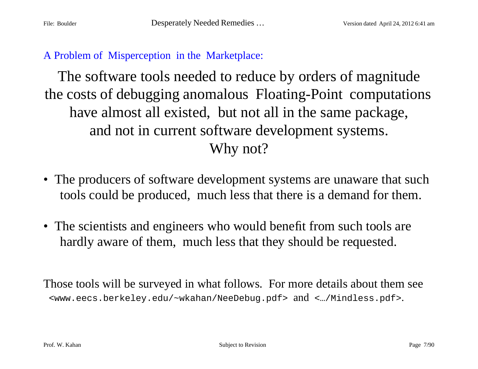#### A Problem of Misperception in the Marketplace:

The software tools needed to reduce by orders of magnitude the costs of debugging anomalous Floating-Point computations have almost all existed, but not all in the same package, and not in current software development systems. Why not?

- The producers of software development systems are unaware that such tools could be produced, much less that there is a demand for them.
- The scientists and engineers who would benefit from such tools are hardly aware of them, much less that they should be requested.

Those tools will be surveyed in what follows. For more details about them see <www.eecs.berkeley.edu/~wkahan/NeeDebug.pdf> and <…/Mindless.pdf>.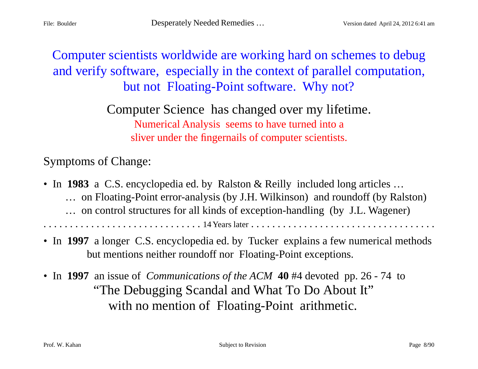Computer scientists worldwide are working hard on schemes to debug and verify software, especially in the context of parallel computation, but not Floating-Point software. Why not?

> Computer Science has changed over my lifetime. Numerical Analysis seems to have turned into a sliver under the fingernails of computer scientists.

Symptoms of Change:

• In **1983** a C.S. encyclopedia ed. by Ralston & Reilly included long articles ... … on Floating-Point error-analysis (by J.H. Wilkinson) and roundoff (by Ralston) … on control structures for all kinds of exception-handling (by J.L. Wagener)

. . . . . . . . . . . . . . . . . . . . . . . . . . . . . . 14 Years later . . . . . . . . . . . . . . . . . . . . . . . . . . . . . . . . . . .

- In **1997** a longer C.S. encyclopedia ed. by Tucker explains a few numerical methods but mentions neither roundoff nor Floating-Point exceptions.
- In **1997** an issue of *Communications of the ACM* **40** #4 devoted pp. 26 74 to "The Debugging Scandal and What To Do About It" with no mention of Floating-Point arithmetic.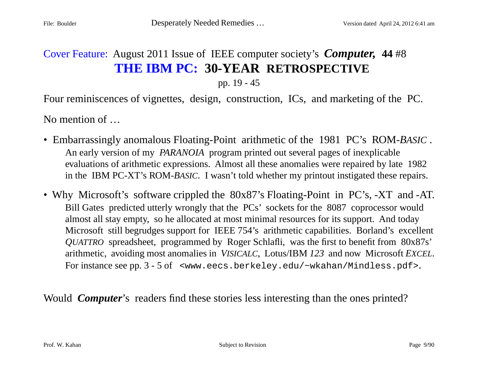### Cover Feature: August 2011 Issue of IEEE computer society's *Computer,* **<sup>44</sup>** #8 **THE IBM PC: 30-YEAR RETROSPECTIVE**

pp. 19 - 45

Four reminiscences of vignettes, design, construction, ICs, and marketing of the PC.

No mention of …

- Embarrassingly anomalous Floating-Point arithmetic of the 1981 PC's ROM-*BASIC* . An early version of my *PARANOIA* program printed out several pages of inexplicable evaluations of arithmetic expressions. Almost all these anomalies were repaired by late 1982 in the IBM PC-XT's ROM-*BASIC*. I wasn't told whether my printout instigated these repairs.
- Why Microsoft's software crippled the 80x87's Floating-Point in PC's, -XT and -AT. Bill Gates predicted utterly wrongly that the PCs' sockets for the 8087 coprocessor would almost all stay empty, so he allocated at most minimal resources for its support. And today Microsoft still begrudges support for IEEE 754's arithmetic capabilities. Borland's excellent *QUATTRO* spreadsheet, programmed by Roger Schlafli, was the first to benefit from 80x87s' arithmetic, avoiding most anomalies in *VISICALC*, Lotus/IBM *123* and now Microsoft *EXCEL*. For instance see pp. 3 - 5 of <www.eecs.berkeley.edu/~wkahan/Mindless.pdf>.

Would *Computer*'s readers find these stories less interesting than the ones printed?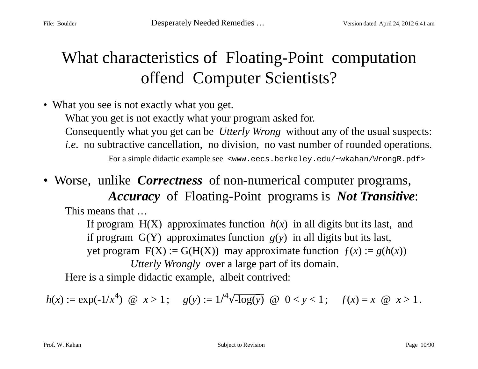## What characteristics of Floating-Point computation offend Computer Scientists?

• What you see is not exactly what you get.

What you get is not exactly what your program asked for.

Consequently what you get can be *Utterly Wrong* without any of the usual suspects:

*i.e*. no subtractive cancellation, no division, no vast number of rounded operations.

For a simple didactic example see <www.eecs.berkeley.edu/~wkahan/WrongR.pdf>

• Worse, unlike *Correctness* of non-numerical computer programs, *Accuracy* of Floating-Point programs is *Not Transitive*:

This means that …

If program  $H(X)$  approximates function  $h(x)$  in all digits but its last, and if program G(Y) approximates function *g*(*y*) in all digits but its last, yet program  $F(X) := G(H(X))$  may approximate function  $f(x) := g(h(x))$ *Utterly Wrongly* over a large part of its domain.

Here is a simple didactic example, albeit contrived:

 $h(x) := \exp(-1/x^4) \quad \text{or} \quad x > 1; \quad g(y) := \frac{1}{4} \sqrt{-\log(y)} \quad \text{or} \quad 0 < y < 1; \quad f(x) = x \quad \text{or} \quad x > 1.$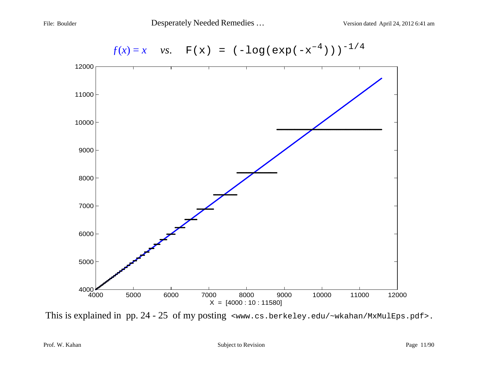File: Boulder **Desperately Needed Remedies** ... Version dated April 24, 2012 6:41 am



This is explained in pp. 24 - 25 of my posting <www.cs.berkeley.edu/~wkahan/MxMulEps.pdf>.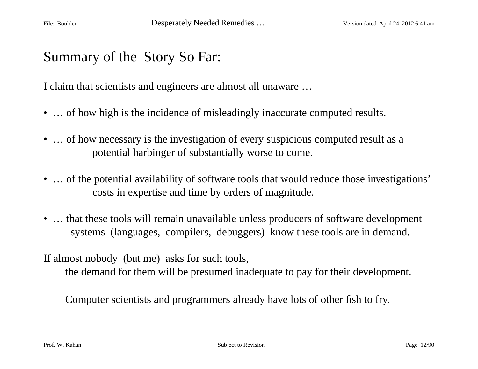## Summary of the Story So Far:

I claim that scientists and engineers are almost all unaware …

- ... of how high is the incidence of misleadingly inaccurate computed results.
- ... of how necessary is the investigation of every suspicious computed result as a potential harbinger of substantially worse to come.
- … of the potential availability of software tools that would reduce those investigations' costs in expertise and time by orders of magnitude.
- ... that these tools will remain unavailable unless producers of software development systems (languages, compilers, debuggers) know these tools are in demand.

If almost nobody (but me) asks for such tools,

the demand for them will be presumed inadequate to pay for their development.

Computer scientists and programmers already have lots of other fish to fry.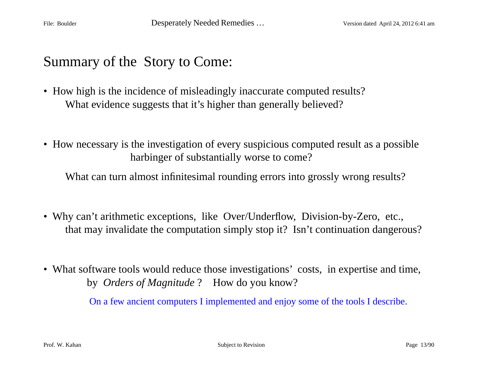## Summary of the Story to Come:

- How high is the incidence of misleadingly inaccurate computed results? What evidence suggests that it's higher than generally believed?
- How necessary is the investigation of every suspicious computed result as a possible harbinger of substantially worse to come?

What can turn almost infinitesimal rounding errors into grossly wrong results?

- Why can't arithmetic exceptions, like Over/Underflow, Division-by-Zero, etc., that may invalidate the computation simply stop it? Isn't continuation dangerous?
- What software tools would reduce those investigations' costs, in expertise and time, by *Orders of Magnitude* ? How do you know?

On a few ancient computers I implemented and enjoy some of the tools I describe.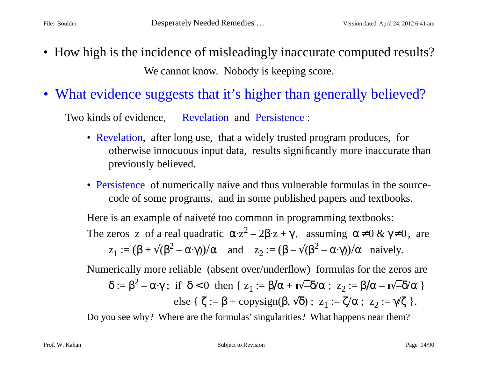- How high is the incidence of misleadingly inaccurate computed results? We cannot know. Nobody is keeping score.
- What evidence suggests that it's higher than generally believed?

Two kinds of evidence, Revelation and Persistence :

- Revelation, after long use, that a widely trusted program produces, for otherwise innocuous input data, results significantly more inaccurate than previously believed.
- Persistence of numerically naive and thus vulnerable formulas in the sourcecode of some programs, and in some published papers and textbooks.

Here is an example of naiveté too common in programming textbooks: The zeros z of a real quadratic  $\alpha \cdot z^2 - 2\beta \cdot z + \gamma$ , assuming  $\alpha \neq 0$  &  $\gamma \neq 0$ , are  $z_1 := (\beta + \sqrt{\beta^2 - \alpha \cdot \gamma})/\alpha$  and  $z_2 := (\beta - \sqrt{\beta^2 - \alpha \cdot \gamma})/\alpha$  naively.

Numerically more reliable (absent over/underflow) formulas for the zeros are  $\delta := \beta^2 - \alpha \cdot \gamma$ ; if  $\delta < 0$  then {  $z_1 := \beta/\alpha + i\sqrt{-\delta}/\alpha$ ;  $z_2 := \beta/\alpha - i\sqrt{-\delta}/\alpha$  } else {  $\zeta := \beta + \text{copysign}(\beta, \sqrt{\delta})$ ;  $z_1 := \zeta/\alpha$ ;  $z_2 := \gamma/\zeta$  }.

Do you see why? Where are the formulas' singularities? What happens near them?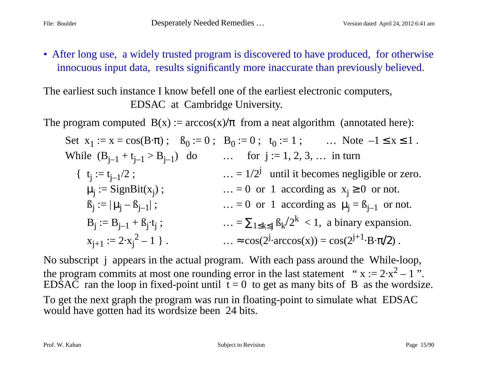• After long use, a widely trusted program is discovered to have produced, for otherwise innocuous input data, results significantly more inaccurate than previously believed.

#### The earliest such instance I know befell one of the earliest electronic computers, EDSAC at Cambridge University.

The program computed  $B(x) := \arccos(x)/\pi$  from a neat algorithm (annotated here):

|                                          | Set $x_1 := x = cos(B \cdot \pi)$ ; $B_0 := 0$ ; $B_0 := 0$ ; $t_0 := 1$ ;  Note $-1 \le x \le 1$ . |
|------------------------------------------|-----------------------------------------------------------------------------------------------------|
| While $(B_{j-1} + t_{j-1} > B_{j-1})$ do | for $j := 1, 2, 3, $ in turn                                                                        |
| { $t_i := t_{i-1}/2$ ;                   | $\ldots = 1/2^{j}$ until it becomes negligible or zero.                                             |
| $\mu_i :=$ SignBit(x <sub>j</sub> );     | = 0 or 1 according as $x_i \ge 0$ or not.                                                           |
| $B_i :=  \mu_i - B_{i-1} ;$              | = 0 or 1 according as $\mu_i = \beta_{i-1}$ or not.                                                 |
| $B_i := B_{i-1} + B_i \cdot t_i;$        | $\ldots = \sum_{1 \le k \le j} \frac{\beta_k}{2^k} < 1$ , a binary expansion.                       |
| $x_{j+1} := 2 \cdot x_j^2 - 1$ .         | $\ldots \approx \cos(2^{j} \cdot \arccos(x)) = \cos(2^{j+1} \cdot B \cdot \pi/2)$ .                 |

No subscript j appears in the actual program. With each pass around the While-loop, the program commits at most one rounding error in the last statement " $x := 2 \cdot x^2 - 1$ ". EDSAC ran the loop in fixed-point until  $\tilde{t} = 0$  to get as many bits of B as the wordsize. To get the next graph the program was run in floating-point to simulate what EDSAC would have gotten had its wordsize been 24 bits.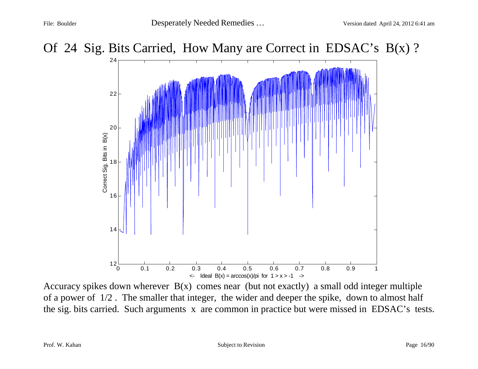



Accuracy spikes down wherever  $B(x)$  comes near (but not exactly) a small odd integer multiple of a power of 1/2 . The smaller that integer, the wider and deeper the spike, down to almost half the sig. bits carried. Such arguments x are common in practice but were missed in EDSAC's tests.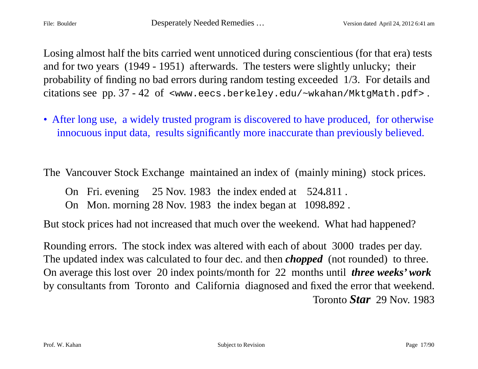Losing almost half the bits carried went unnoticed during conscientious (for that era) tests and for two years (1949 - 1951) afterwards. The testers were slightly unlucky; their probability of finding no bad errors during random testing exceeded 1/3. For details and citations see pp. 37 - 42 of <www.eecs.berkeley.edu/~wkahan/MktgMath.pdf> .

• After long use, a widely trusted program is discovered to have produced, for otherwise innocuous input data, results significantly more inaccurate than previously believed.

The Vancouver Stock Exchange maintained an index of (mainly mining) stock prices.

On Fri. evening 25 Nov. 1983 the index ended at 524**.**811 .

On Mon. morning 28 Nov. 1983 the index began at 1098**.**892 .

But stock prices had not increased that much over the weekend. What had happened?

Rounding errors. The stock index was altered with each of about 3000 trades per day. The updated index was calculated to four dec. and then *chopped* (not rounded) to three. On average this lost over 20 index points/month for 22 months until *three weeks' work* by consultants from Toronto and California diagnosed and fixed the error that weekend. Toronto *Star* 29 Nov. 1983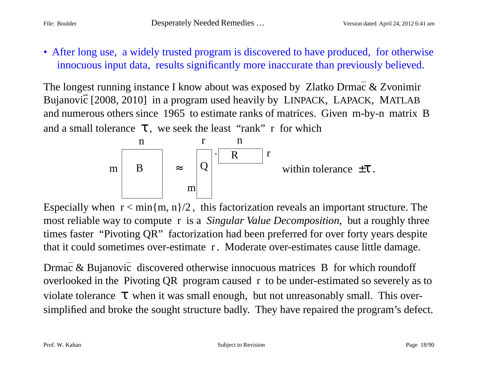• After long use, a widely trusted program is discovered to have produced, for otherwise innocuous input data, results significantly more inaccurate than previously believed.

The longest running instance I know about was exposed by Zlatko Drmac & Zvonimir Bujanovic [2008, 2010] in a program used heavily by LINPACK, LAPACK, MATLAB and numerous others since 1965 to estimate ranks of matrices. Given m-by-n matrix B and a small tolerance  $\tau$ , we seek the least "rank" r for which



Especially when  $r < min\{m, n\}/2$ , this factorization reveals an important structure. The most reliable way to compute r is a *Singular Value Decomposition*, but a roughly three times faster "Pivoting QR" factorization had been preferred for over forty years despite that it could sometimes over-estimate r. Moderate over-estimates cause little damage.

Drmac & Bujanovic discovered otherwise innocuous matrices B for which roundoff overlooked in the Pivoting QR program caused r to be under-estimated so severely as to violate tolerance  $\tau$  when it was small enough, but not unreasonably small. This oversimplified and broke the sought structure badly. They have repaired the program's defect.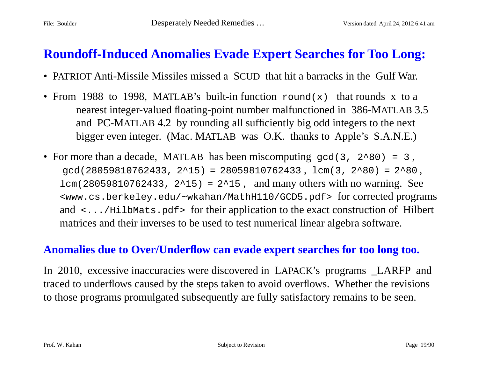#### **Roundoff-Induced Anomalies Evade Expert Searches for Too Long:**

- PATRIOT Anti-Missile Missiles missed a SCUD that hit a barracks in the Gulf War.
- From 1988 to 1998, MATLAB's built-in function  $\text{round}(x)$  that rounds x to a nearest integer-valued floating-point number malfunctioned in 386-MATLAB 3.5 and PC-MATLAB 4.2 by rounding all sufficiently big odd integers to the next bigger even integer. (Mac. MATLAB was O.K. thanks to Apple's S.A.N.E.)
- For more than a decade, MATLAB has been miscomputing gcd(3, 2^80) = 3,  $gcd(28059810762433, 2^15) = 28059810762433, lcm(3, 2^80) = 2^80,$  $lcm(28059810762433, 2^15) = 2^15$ , and many others with no warning. See <www.cs.berkeley.edu/~wkahan/MathH110/GCD5.pdf> for corrected programs and <.../HilbMats.pdf> for their application to the exact construction of Hilbert matrices and their inverses to be used to test numerical linear algebra software.

#### **Anomalies due to Over/Underflow can evade expert searches for too long too.**

In 2010, excessive inaccuracies were discovered in LAPACK's programs \_LARFP and traced to underflows caused by the steps taken to avoid overflows. Whether the revisions to those programs promulgated subsequently are fully satisfactory remains to be seen.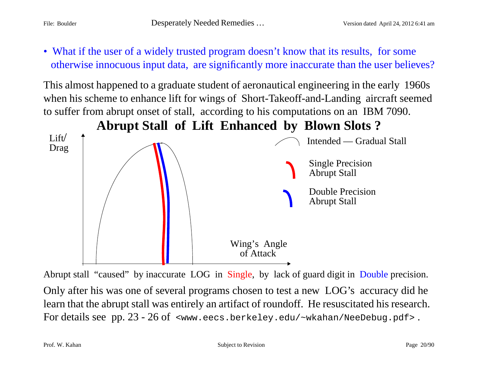• What if the user of a widely trusted program doesn't know that its results, for some otherwise innocuous input data, are significantly more inaccurate than the user believes?

This almost happened to a graduate student of aeronautical engineering in the early 1960s when his scheme to enhance lift for wings of Short-Takeoff-and-Landing aircraft seemed to suffer from abrupt onset of stall, according to his computations on an IBM 7090.



Abrupt stall "caused" by inaccurate LOG in Single, by lack of guard digit in Double precision. Only after his was one of several programs chosen to test a new LOG's accuracy did he learn that the abrupt stall was entirely an artifact of roundoff. He resuscitated his research. For details see pp. 23 - 26 of <www.eecs.berkeley.edu/~wkahan/NeeDebug.pdf> .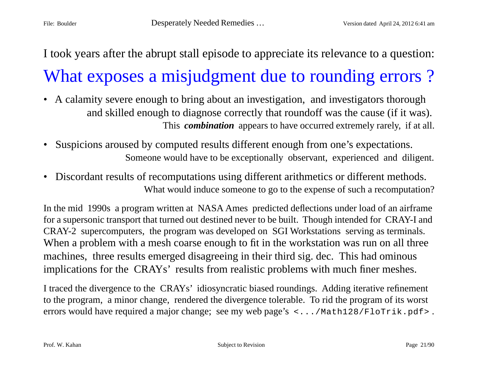# I took years after the abrupt stall episode to appreciate its relevance to a question: What exposes a misjudgment due to rounding errors?

- A calamity severe enough to bring about an investigation, and investigators thorough and skilled enough to diagnose correctly that roundoff was the cause (if it was). This *combination* appears to have occurred extremely rarely, if at all.
- Suspicions aroused by computed results different enough from one's expectations. Someone would have to be exceptionally observant, experienced and diligent.
- Discordant results of recomputations using different arithmetics or different methods. What would induce someone to go to the expense of such a recomputation?

In the mid 1990s a program written at NASA Ames predicted deflections under load of an airframe for a supersonic transport that turned out destined never to be built. Though intended for CRAY-I and CRAY-2 supercomputers, the program was developed on SGI Workstations serving as terminals. When a problem with a mesh coarse enough to fit in the workstation was run on all three machines, three results emerged disagreeing in their third sig. dec. This had ominous implications for the CRAYs' results from realistic problems with much finer meshes.

I traced the divergence to the CRAYs' idiosyncratic biased roundings. Adding iterative refinement to the program, a minor change, rendered the divergence tolerable. To rid the program of its worst errors would have required a major change; see my web page's <.../Math128/FloTrik.pdf>.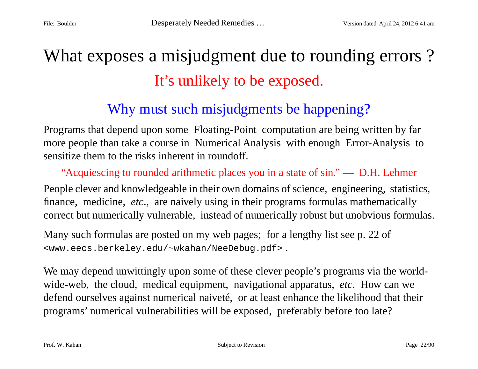# What exposes a misjudgment due to rounding errors? It's unlikely to be exposed.

## Why must such misjudgments be happening?

Programs that depend upon some Floating-Point computation are being written by far more people than take a course in Numerical Analysis with enough Error-Analysis to sensitize them to the risks inherent in roundoff.

"Acquiescing to rounded arithmetic places you in a state of sin." — D.H. Lehmer People clever and knowledgeable in their own domains of science, engineering, statistics, finance, medicine, *etc*., are naively using in their programs formulas mathematically correct but numerically vulnerable, instead of numerically robust but unobvious formulas.

Many such formulas are posted on my web pages; for a lengthy list see p. 22 of <www.eecs.berkeley.edu/~wkahan/NeeDebug.pdf> .

We may depend unwittingly upon some of these clever people's programs via the worldwide-web, the cloud, medical equipment, navigational apparatus, *etc*. How can we defend ourselves against numerical naiveté, or at least enhance the likelihood that their programs' numerical vulnerabilities will be exposed, preferably before too late?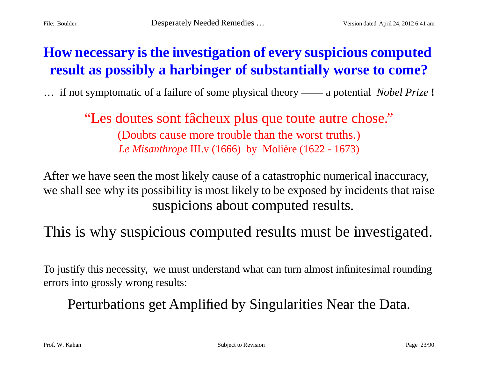## **How necessary is the investigation of every suspicious computed result as possibly a harbinger of substantially worse to come?**

… if not symptomatic of a failure of some physical theory —— a potential *Nobel Prize* **!**

"Les doutes sont fâcheux plus que toute autre chose." (Doubts cause more trouble than the worst truths.) *Le Misanthrope* III.v (1666) by Molière (1622 - 1673)

After we have seen the most likely cause of a catastrophic numerical inaccuracy, we shall see why its possibility is most likely to be exposed by incidents that raise suspicions about computed results.

This is why suspicious computed results must be investigated.

To justify this necessity, we must understand what can turn almost infinitesimal rounding errors into grossly wrong results:

Perturbations get Amplified by Singularities Near the Data.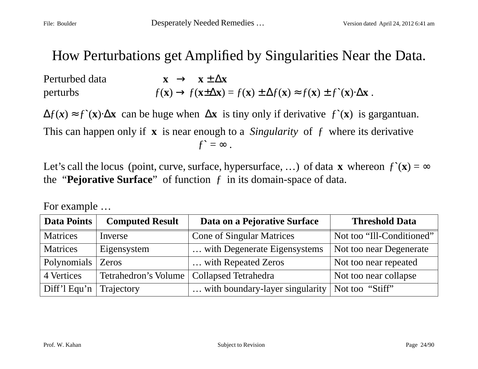### How Perturbations get Amplified by Singularities Near the Data.

| Perturbed data | $\mathbf{x} \rightarrow \mathbf{x} \pm \Delta \mathbf{x}$                                                                                                                        |
|----------------|----------------------------------------------------------------------------------------------------------------------------------------------------------------------------------|
| perturbs       | $f(\mathbf{x}) \rightarrow f(\mathbf{x} \pm \Delta \mathbf{x}) = f(\mathbf{x}) \pm \Delta f(\mathbf{x}) \approx f(\mathbf{x}) \pm f^{\ast}(\mathbf{x}) \cdot \Delta \mathbf{x}.$ |

 $\Delta f(x) \approx f'(x) \cdot \Delta x$  can be huge when  $\Delta x$  is tiny only if derivative  $f'(x)$  is gargantuan. This can happen only if **x** is near enough to a *Singularity* of ƒ where its derivative  $f^* = \infty$ .

Let's call the locus (point, curve, surface, hypersurface, ...) of data **x** whereon  $f(x) = \infty$ the "**Pejorative Surface**" of function ƒ in its domain-space of data.

| <b>Data Points</b>   | <b>Computed Result</b> | Data on a Pejorative Surface     | <b>Threshold Data</b>     |
|----------------------|------------------------|----------------------------------|---------------------------|
| Matrices             | Inverse                | <b>Cone of Singular Matrices</b> | Not too "Ill-Conditioned" |
| <b>Matrices</b>      | Eigensystem            | with Degenerate Eigensystems     | Not too near Degenerate   |
| Polynomials          | Zeros                  | with Repeated Zeros              | Not too near repeated     |
| 4 Vertices           | Tetrahedron's Volume   | <b>Collapsed Tetrahedra</b>      | Not too near collapse     |
| Diff'l Equ'n $\vert$ | Trajectory             | with boundary-layer singularity  | Not too "Stiff"           |
|                      |                        |                                  |                           |

For example …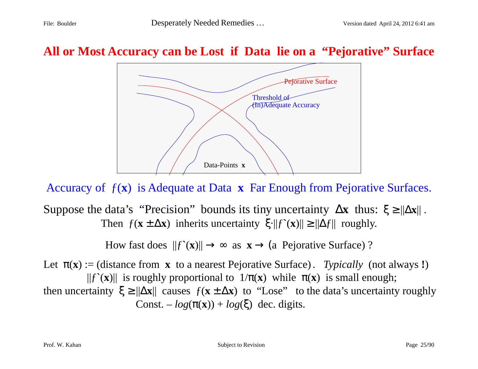#### **All or Most Accuracy can be Lost if Data lie on a "Pejorative" Surface**



Accuracy of ƒ(**x**) is Adequate at Data **x** Far Enough from Pejorative Surfaces.

Suppose the data's "Precision" bounds its tiny uncertainty ∆**x** thus: ξ <sup>≥</sup> ||∆**x**|| . Then  $f(\mathbf{x} \pm \Delta \mathbf{x})$  inherits uncertainty  $\xi \cdot ||f(\mathbf{x})|| \ge ||\Delta f||$  roughly.

How fast does  $||f'(x)|| \rightarrow \infty$  as  $x \rightarrow (a$  Pejorative Surface) ?

Let  $\pi(\mathbf{x})$  := (distance from **x** to a nearest Pejorative Surface). *Typically* (not always !)  $||f^(\mathbf{x})||$  is roughly proportional to  $1/\pi(\mathbf{x})$  while  $\pi(\mathbf{x})$  is small enough; then uncertainty  $\xi \ge ||\Delta \mathbf{x}||$  causes  $f(\mathbf{x} \pm \Delta \mathbf{x})$  to "Lose" to the data's uncertainty roughly Const.  $-\log(\pi(\mathbf{x})) + \log(\xi)$  dec. digits.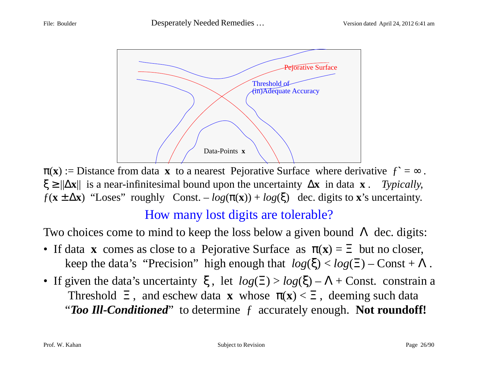

 $\pi(\mathbf{x}) := \text{Distance from data } \mathbf{x}$  to a nearest Pejorative Surface where derivative  $f^* = \infty$ . ξ <sup>≥</sup> ||∆**x**|| is a near-infinitesimal bound upon the uncertainty ∆**x** in data **<sup>x</sup>** . *Typically*,  $f(x \pm \Delta x)$  "Loses" roughly Const. –  $log(\pi(x)) + log(\xi)$  dec. digits to **x**'s uncertainty.

#### How many lost digits are tolerable?

Two choices come to mind to keep the loss below a given bound  $\Lambda$  dec. digits:

- If data **x** comes as close to a Pejorative Surface as  $\pi(\mathbf{x}) = \Xi$  but no closer, keep the data's "Precision" high enough that  $log(\xi) < log(\Xi) - Const + \Lambda$ .
- If given the data's uncertainty  $\xi$ , let  $log(\Xi) > log(\xi) \Lambda$  + Const. constrain a Threshold  $\Xi$ , and eschew data **x** whose  $\pi(x) < \Xi$ , deeming such data "*Too Ill-Conditioned*" to determine ƒ accurately enough. **Not roundoff!**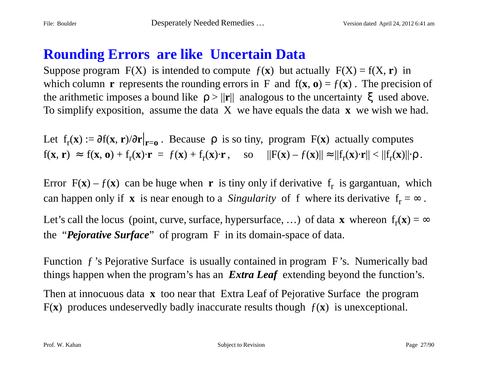## **Rounding Errors are like Uncertain Data**

Suppose program  $F(X)$  is intended to compute  $f(x)$  but actually  $F(X) = f(X, r)$  in which column **r** represents the rounding errors in F and  $f(x, 0) = f(x)$ . The precision of the arithmetic imposes a bound like  $\rho > ||\mathbf{r}||$  analogous to the uncertainty  $\xi$  used above. To simplify exposition, assume the data X we have equals the data **x** we wish we had.

Let  $f_r(\mathbf{x}) := \partial f(\mathbf{x}, \mathbf{r}) / \partial \mathbf{r} |_{\mathbf{r}=\mathbf{0}}$ . Because  $\rho$  is so tiny, program  $F(\mathbf{x})$  actually computes  $f(\mathbf{x}, \mathbf{r}) \approx f(\mathbf{x}, \mathbf{o}) + f_r(\mathbf{x}) \cdot \mathbf{r} = f(\mathbf{x}) + f_r(\mathbf{x}) \cdot \mathbf{r}$ , so  $||F(\mathbf{x}) - f(\mathbf{x})|| \approx ||f_r(\mathbf{x}) \cdot \mathbf{r}|| < ||f_r(\mathbf{x})|| \cdot \rho$ .

Error  $F(x) - f(x)$  can be huge when **r** is tiny only if derivative  $f_r$  is gargantuan, which can happen only if **x** is near enough to a *Singularity* of f where its derivative  $f_r = \infty$ .

Let's call the locus (point, curve, surface, hypersurface, ...) of data **x** whereon  $f_r(\mathbf{x}) = \infty$ the "*Pejorative Surface*" of program F in its domain-space of data.

Function f's Pejorative Surface is usually contained in program F's. Numerically bad things happen when the program's has an *Extra Leaf* extending beyond the function's.

Then at innocuous data **x** too near that Extra Leaf of Pejorative Surface the program F( $\bf{x}$ ) produces undeservedly badly inaccurate results though  $f(\bf{x})$  is unexceptional.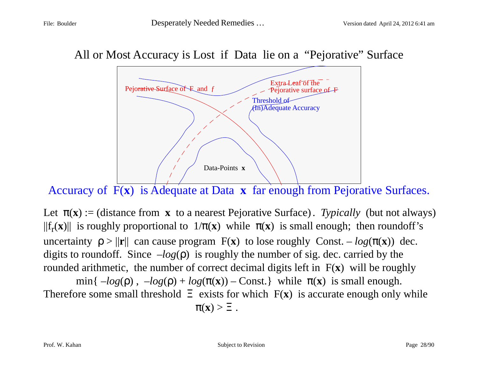#### All or Most Accuracy is Lost if Data lie on a "Pejorative" Surface



Accuracy of F(**x**) is Adequate at Data **x** far enough from Pejorative Surfaces.

Let  $\pi(x) :=$  (distance from **x** to a nearest Pejorative Surface). *Typically* (but not always)  $||f_r(\mathbf{x})||$  is roughly proportional to  $1/\pi(\mathbf{x})$  while  $\pi(\mathbf{x})$  is small enough; then roundoff's uncertainty  $\rho > ||\mathbf{r}||$  can cause program  $F(\mathbf{x})$  to lose roughly Const. –  $log(\pi(\mathbf{x}))$  dec. digits to roundoff. Since –*log*(ρ) is roughly the number of sig. dec. carried by the rounded arithmetic, the number of correct decimal digits left in F(**x**) will be roughly min{  $-log(\rho)$ ,  $-log(\rho) + log(\pi(x))$  – Const.} while  $\pi(x)$  is small enough. Therefore some small threshold  $\Xi$  exists for which  $F(x)$  is accurate enough only while

 $\pi(\mathbf{x}) > \Xi$ .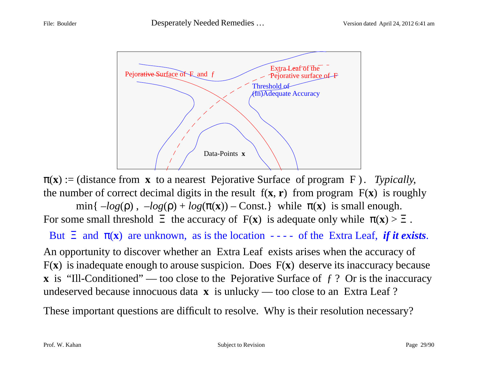

<sup>π</sup>(**x**) := (distance from **x** to a nearest Pejorative Surface of program F ). *Typically*, the number of correct decimal digits in the result  $f(x, r)$  from program  $F(x)$  is roughly

min{  $-log(\rho)$ ,  $-log(\rho) + log(\pi(x)) - Const.$ } while  $\pi(x)$  is small enough. For some small threshold  $\Xi$  the accuracy of  $F(x)$  is adequate only while  $\pi(x) > \Xi$ .

But  $\Xi$  and  $\pi(x)$  are unknown, as is the location ---- of the Extra Leaf, *if it exists*. An opportunity to discover whether an Extra Leaf exists arises when the accuracy of F(**x**) is inadequate enough to arouse suspicion. Does F(**x**) deserve its inaccuracy because **x** is "Ill-Conditioned" — too close to the Pejorative Surface of  $f$ ? Or is the inaccuracy undeserved because innocuous data **x** is unlucky — too close to an Extra Leaf ?

These important questions are difficult to resolve. Why is their resolution necessary?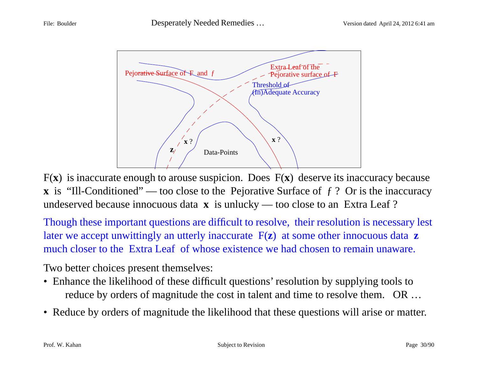

F(**x**) is inaccurate enough to arouse suspicion. Does F(**x**) deserve its inaccuracy because **x** is "Ill-Conditioned" — too close to the Pejorative Surface of  $f$ ? Or is the inaccuracy undeserved because innocuous data **x** is unlucky — too close to an Extra Leaf ?

Though these important questions are difficult to resolve, their resolution is necessary lest later we accept unwittingly an utterly inaccurate F(**z**) at some other innocuous data **<sup>z</sup>** much closer to the Extra Leaf of whose existence we had chosen to remain unaware.

Two better choices present themselves:

- Enhance the likelihood of these difficult questions' resolution by supplying tools to reduce by orders of magnitude the cost in talent and time to resolve them. OR …
- Reduce by orders of magnitude the likelihood that these questions will arise or matter.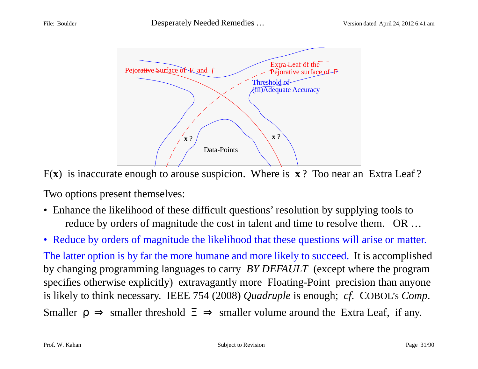

F(**x**) is inaccurate enough to arouse suspicion. Where is **<sup>x</sup>** ? Too near an Extra Leaf ?

Two options present themselves:

- Enhance the likelihood of these difficult questions' resolution by supplying tools to reduce by orders of magnitude the cost in talent and time to resolve them. OR …
- Reduce by orders of magnitude the likelihood that these questions will arise or matter.

The latter option is by far the more humane and more likely to succeed. It is accomplished by changing programming languages to carry *BY DEFAULT* (except where the program specifies otherwise explicitly) extravagantly more Floating-Point precision than anyone is likely to think necessary. IEEE 754 (2008) *Quadruple* is enough; *cf*. COBOL's *Comp*. Smaller  $\rho \Rightarrow$  smaller threshold  $\Xi \Rightarrow$  smaller volume around the Extra Leaf, if any.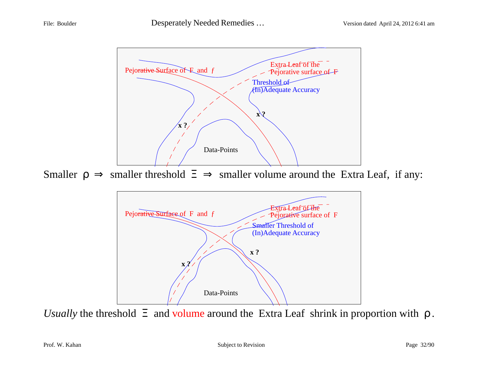

Smaller  $\rho \Rightarrow$  smaller threshold  $\Xi \Rightarrow$  smaller volume around the Extra Leaf, if any:



*Usually* the threshold  $\Xi$  and volume around the Extra Leaf shrink in proportion with  $\rho$ .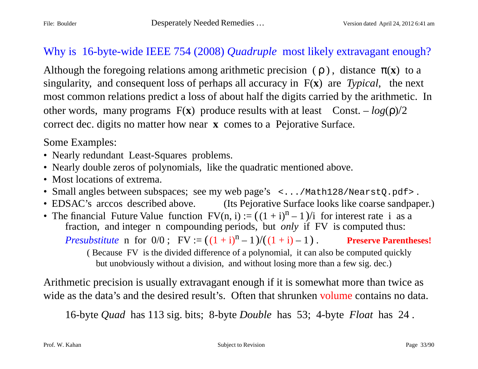#### Why is 16-byte-wide IEEE 754 (2008) *Quadruple* most likely extravagant enough?

Although the foregoing relations among arithmetic precision ( $\rho$ ), distance  $\pi(x)$  to a singularity, and consequent loss of perhaps all accuracy in F(**x**) are *Typical*, the next most common relations predict a loss of about half the digits carried by the arithmetic. In other words, many programs  $F(x)$  produce results with at least Const.  $-\log(\rho)/2$ correct dec. digits no matter how near **x** comes to a Pejorative Surface.

Some Examples:

- Nearly redundant Least-Squares problems.
- Nearly double zeros of polynomials, like the quadratic mentioned above.
- Most locations of extrema.
- Small angles between subspaces; see my web page's <.../Math128/NearstQ.pdf> .
- EDSAC's arccos described above. (Its Pejorative Surface looks like coarse sandpaper.)
- The financial Future Value function  $FV(n, i) := ((1 + i)^n 1)/i$  for interest rate i as a fraction, and integer n compounding periods, but *only* if FV is computed thus: *Presubstitute* n for  $0/0$ ;  $FV := ((1 + i)^n - 1)/((1 + i) - 1)$ . **Preserve Parentheses!** ( Because FV is the divided difference of a polynomial, it can also be computed quickly but unobviously without a division, and without losing more than a few sig. dec.)

Arithmetic precision is usually extravagant enough if it is somewhat more than twice as wide as the data's and the desired result's. Often that shrunken volume contains no data.

16-byte *Quad* has 113 sig. bits; 8-byte *Double* has 53; 4-byte *Float* has 24 .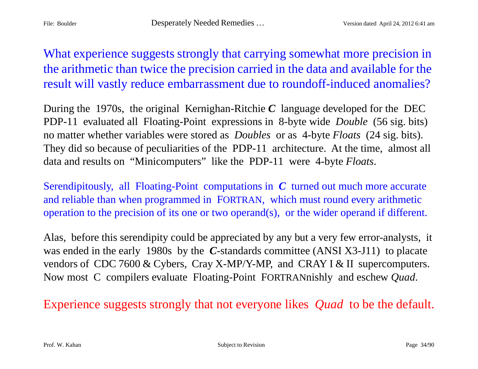What experience suggests strongly that carrying somewhat more precision in the arithmetic than twice the precision carried in the data and available for the result will vastly reduce embarrassment due to roundoff-induced anomalies?

During the 1970s, the original Kernighan-Ritchie *C* language developed for the DEC PDP-11 evaluated all Floating-Point expressions in 8-byte wide *Double* (56 sig. bits) no matter whether variables were stored as *Doubles* or as 4-byte *Floats* (24 sig. bits). They did so because of peculiarities of the PDP-11 architecture. At the time, almost all data and results on "Minicomputers" like the PDP-11 were 4-byte *Floats*.

Serendipitously, all Floating-Point computations in *C* turned out much more accurate and reliable than when programmed in FORTRAN, which must round every arithmetic operation to the precision of its one or two operand(s), or the wider operand if different.

Alas, before this serendipity could be appreciated by any but a very few error-analysts, it was ended in the early 1980s by the *C*-standards committee (ANSI X3-J11) to placate vendors of CDC 7600 & Cybers, Cray X-MP/Y-MP, and CRAY I & II supercomputers. Now most C compilers evaluate Floating-Point FORTRANnishly and eschew *Quad*.

#### Experience suggests strongly that not everyone likes *Quad* to be the default.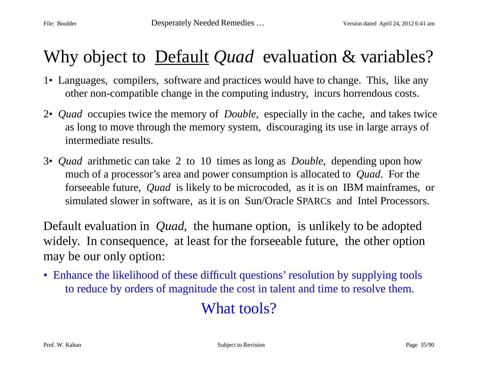# Why object to Default *Quad* evaluation & variables?

- 1• Languages, compilers, software and practices would have to change. This, like any other non-compatible change in the computing industry, incurs horrendous costs.
- 2• *Quad* occupies twice the memory of *Double*, especially in the cache, and takes twice as long to move through the memory system, discouraging its use in large arrays of intermediate results.
- 3• *Quad* arithmetic can take 2 to 10 times as long as *Double*, depending upon how much of a processor's area and power consumption is allocated to *Quad*. For the forseeable future, *Quad* is likely to be microcoded, as it is on IBM mainframes, or simulated slower in software, as it is on Sun/Oracle SPARCs and Intel Processors.

Default evaluation in *Quad*, the humane option, is unlikely to be adopted widely. In consequence, at least for the forseeable future, the other option may be our only option:

• Enhance the likelihood of these difficult questions' resolution by supplying tools to reduce by orders of magnitude the cost in talent and time to resolve them.

## What tools?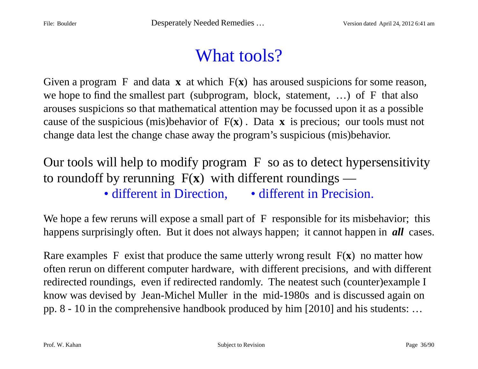## What tools?

Given a program F and data **x** at which F(**x**) has aroused suspicions for some reason, we hope to find the smallest part (subprogram, block, statement, …) of F that also arouses suspicions so that mathematical attention may be focussed upon it as a possible cause of the suspicious (mis)behavior of F(**x**) . Data **x** is precious; our tools must not change data lest the change chase away the program's suspicious (mis)behavior.

Our tools will help to modify program F so as to detect hypersensitivity to roundoff by rerunning F(**x**) with different roundings —

• different in Direction, • different in Precision.

We hope a few reruns will expose a small part of F responsible for its misbehavior; this happens surprisingly often. But it does not always happen; it cannot happen in *all* cases.

Rare examples F exist that produce the same utterly wrong result  $F(x)$  no matter how often rerun on different computer hardware, with different precisions, and with different redirected roundings, even if redirected randomly. The neatest such (counter)example I know was devised by Jean-Michel Muller in the mid-1980s and is discussed again on pp. 8 - 10 in the comprehensive handbook produced by him [2010] and his students: …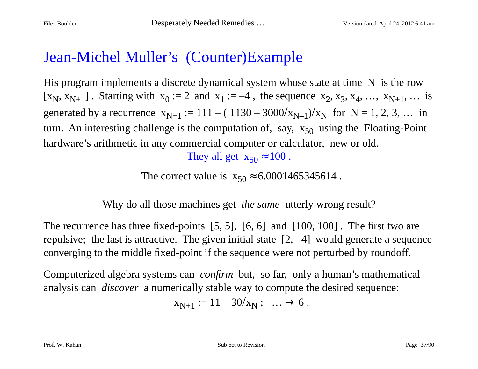## Jean-Michel Muller's (Counter)Example

His program implements a discrete dynamical system whose state at time N is the row  $[x_N, x_{N+1}]$ . Starting with  $x_0 := 2$  and  $x_1 := -4$ , the sequence  $x_2, x_3, x_4, ..., x_{N+1}, ...$  is generated by a recurrence  $x_{N+1} := 111 - (1130 - 3000/x_{N-1})/x_N$  for  $N = 1, 2, 3, ...$  in turn. An interesting challenge is the computation of, say,  $x_{50}$  using the Floating-Point hardware's arithmetic in any commercial computer or calculator, new or old.

They all get  $x_{50} \approx 100$ .

The correct value is  $x_{50} \approx 6.0001465345614$ .

Why do all those machines get *the same* utterly wrong result?

The recurrence has three fixed-points [5, 5], [6, 6] and [100, 100]. The first two are repulsive; the last is attractive. The given initial state [2, –4] would generate a sequence converging to the middle fixed-point if the sequence were not perturbed by roundoff.

Computerized algebra systems can *confirm* but, so far, only a human's mathematical analysis can *discover* a numerically stable way to compute the desired sequence:

 $x_{N+1} := 11 - 30/x_N$ ; …  $\rightarrow 6$ .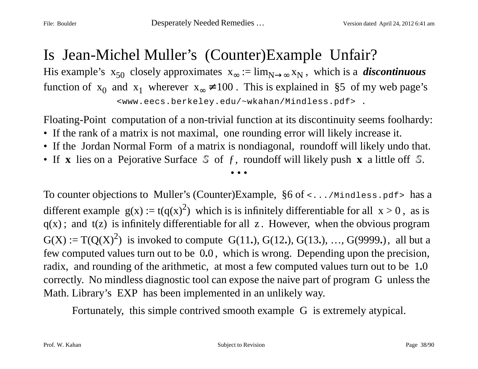### Is Jean-Michel Muller's (Counter)Example Unfair?

His example's  $x_{50}$  closely approximates  $x_{\infty} := \lim_{N \to \infty} x_N$ , which is a *discontinuous* function of  $x_0$  and  $x_1$  wherever  $x_\infty \neq 100$ . This is explained in §5 of my web page's <www.eecs.berkeley.edu/~wkahan/Mindless.pdf> .

Floating-Point computation of a non-trivial function at its discontinuity seems foolhardy:

- If the rank of a matrix is not maximal, one rounding error will likely increase it.
- If the Jordan Normal Form of a matrix is nondiagonal, roundoff will likely undo that.
- If **x** lies on a Pejorative Surface *S* of ƒ, roundoff will likely push **x** a little off *S*.

• • •

To counter objections to Muller's (Counter)Example, §6 of <.../Mindless.pdf> has a different example  $g(x) := t(q(x)^2)$  which is is infinitely differentiable for all  $x > 0$ , as is  $q(x)$ ; and  $t(z)$  is infinitely differentiable for all z. However, when the obvious program  $G(X) := T(Q(X)^2)$  is invoked to compute  $G(11)$ ,  $G(12)$ ,  $G(13)$ , ...,  $G(9999)$ , all but a few computed values turn out to be 0**.**0 , which is wrong. Depending upon the precision, radix, and rounding of the arithmetic, at most a few computed values turn out to be 1**.**0 correctly. No mindless diagnostic tool can expose the naive part of program G unless the Math. Library's EXP has been implemented in an unlikely way.

Fortunately, this simple contrived smooth example G is extremely atypical.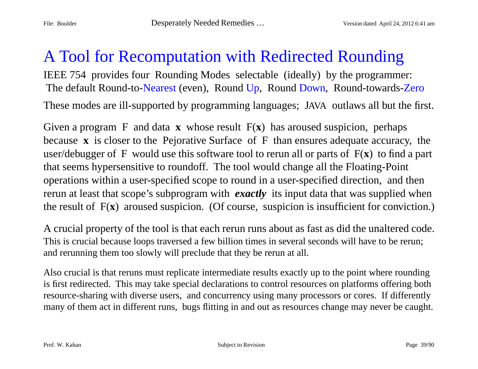## A Tool for Recomputation with Redirected Rounding

IEEE 754 provides four Rounding Modes selectable (ideally) by the programmer: The default Round-to-Nearest (even), Round Up, Round Down, Round-towards-Zero

These modes are ill-supported by programming languages; JAVA outlaws all but the first.

Given a program F and data **x** whose result F(**x**) has aroused suspicion, perhaps because **x** is closer to the Pejorative Surface of F than ensures adequate accuracy, the user/debugger of F would use this software tool to rerun all or parts of F(**x**) to find a part that seems hypersensitive to roundoff. The tool would change all the Floating-Point operations within a user-specified scope to round in a user-specified direction, and then rerun at least that scope's subprogram with *exactly* its input data that was supplied when the result of F(**x**) aroused suspicion. (Of course, suspicion is insufficient for conviction.)

A crucial property of the tool is that each rerun runs about as fast as did the unaltered code. This is crucial because loops traversed a few billion times in several seconds will have to be rerun; and rerunning them too slowly will preclude that they be rerun at all.

Also crucial is that reruns must replicate intermediate results exactly up to the point where rounding is first redirected. This may take special declarations to control resources on platforms offering both resource-sharing with diverse users, and concurrency using many processors or cores. If differently many of them act in different runs, bugs flitting in and out as resources change may never be caught.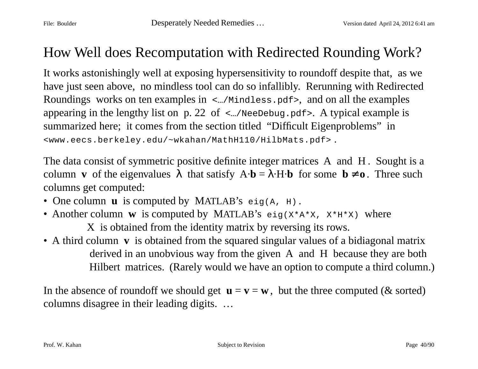### How Well does Recomputation with Redirected Rounding Work?

It works astonishingly well at exposing hypersensitivity to roundoff despite that, as we have just seen above, no mindless tool can do so infallibly. Rerunning with Redirected Roundings works on ten examples in <.../Mindless.pdf>, and on all the examples appearing in the lengthy list on  $p. 22$  of  $\lt$ .../NeeDebug.pdf>. A typical example is summarized here; it comes from the section titled "Difficult Eigenproblems" in <www.eecs.berkeley.edu/~wkahan/MathH110/HilbMats.pdf> .

The data consist of symmetric positive definite integer matrices A and H. Sought is a column **v** of the eigenvalues  $\lambda$  that satisfy  $A \cdot b = \lambda \cdot H \cdot b$  for some  $b \neq o$ . Three such columns get computed:

- One column **u** is computed by MATLAB's eig(A, H).
- Another column **w** is computed by MATLAB's eig(X\*A\*X, X\*H\*X) where X is obtained from the identity matrix by reversing its rows.
- A third column **v** is obtained from the squared singular values of a bidiagonal matrix derived in an unobvious way from the given A and H because they are both Hilbert matrices. (Rarely would we have an option to compute a third column.)

In the absence of roundoff we should get  $\mathbf{u} = \mathbf{v} = \mathbf{w}$ , but the three computed ( $\&$  sorted) columns disagree in their leading digits. …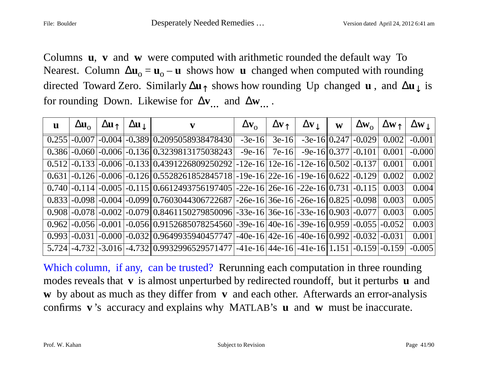Columns **<sup>u</sup>**, **<sup>v</sup>** and **<sup>w</sup>** were computed with arithmetic rounded the default way To Nearest. Column  $\Delta u_0 = u_0 - u$  shows how **u** changed when computed with rounding directed Toward Zero. Similarly ∆**u**↑ shows how rounding Up changed **<sup>u</sup>** , and ∆**<sup>u</sup>**↓ is for rounding Down. Likewise for ∆**v…** and ∆**w…** .

| $\mathbf{u}$ | $\Delta u_{\alpha}$ | $\Delta u \uparrow$ | $\Delta$ u $\downarrow$ | $\mathbf{v}$                                                                                                   | $\Delta$ <b>V</b> <sub>O</sub> | $\Delta v \uparrow$ | $\Delta v_{\perp}$ | W | $\Delta$ W <sub>O</sub> | $\Delta$ W $\uparrow$ | $ \Delta \mathbf{w}_{\downarrow} $ |
|--------------|---------------------|---------------------|-------------------------|----------------------------------------------------------------------------------------------------------------|--------------------------------|---------------------|--------------------|---|-------------------------|-----------------------|------------------------------------|
|              |                     |                     |                         | $\overline{0.255}$ -0.007 -0.004 -0.389 0.2095058938478430                                                     | $-3e-16$                       | $3e-16$             |                    |   | $-3e-16$ 0.247 $-0.029$ | 0.002                 | $-0.001$                           |
|              |                     |                     |                         | $0.386$  -0.060 -0.006 -0.136 0.3239813175038243                                                               | $-9e-16$                       | $7e-16$             |                    |   | $-9e-16[0.377]-0.101]$  | 0.001                 | $-0.000$                           |
|              |                     |                     |                         | $0.512$ -0.133 -0.006 -0.133 0.4391226809250292 -12e-16 12e-16 -12e-16 0.502 -0.137                            |                                |                     |                    |   |                         | 0.001                 | 0.001                              |
|              |                     |                     |                         | $0.631$ -0.126 -0.006 -0.126 0.5528261852845718 -19e-16 22e-16 -19e-16 0.622 -0.129                            |                                |                     |                    |   |                         | 0.002                 | 0.002                              |
|              |                     |                     |                         | $0.740$ -0.114 -0.005 -0.115 0.6612493756197405 -22e-16 26e-16 -22e-16 0.731 -0.115                            |                                |                     |                    |   |                         | 0.003                 | 0.004                              |
|              |                     |                     |                         | $0.833$ -0.098 -0.004 -0.099 0.7603044306722687 -26e-16 36e-16 -26e-16 0.825 -0.098                            |                                |                     |                    |   |                         | 0.003                 | 0.005                              |
|              |                     |                     |                         | $0.908$  -0.078 -0.002 -0.079 0.8461150279850096 -33e-16 36e-16 -33e-16 0.903 -0.077                           |                                |                     |                    |   |                         | 0.003                 | 0.005                              |
|              |                     |                     |                         | $0.962$ $-0.056$ $-0.001$ $-0.056$ $0.9152685078254560$ $-39e-16$ $40e-16$ $-39e-16$ $0.959$ $-0.055$ $-0.052$ |                                |                     |                    |   |                         |                       | 0.003                              |
|              |                     |                     |                         | $0.993$ -0.031 -0.000 -0.032 0.9649935940457747 -40e-16 42e-16 -40e-16 0.992 -0.032 -0.031                     |                                |                     |                    |   |                         |                       | 0.001                              |
|              |                     |                     |                         | $5.724$ -4.732 -3.016 -4.732 0.9932996529571477 -41e-16 44e-16 -41e-16 1.151 -0.159 -0.159                     |                                |                     |                    |   |                         |                       | $-0.005$                           |

Which column, if any, can be trusted? Rerunning each computation in three rounding modes reveals that **v** is almost unperturbed by redirected roundoff, but it perturbs **u** and **<sup>w</sup>** by about as much as they differ from **v** and each other. Afterwards an error-analysis confirms **<sup>v</sup>** 's accuracy and explains why MATLAB's **u** and **w** must be inaccurate.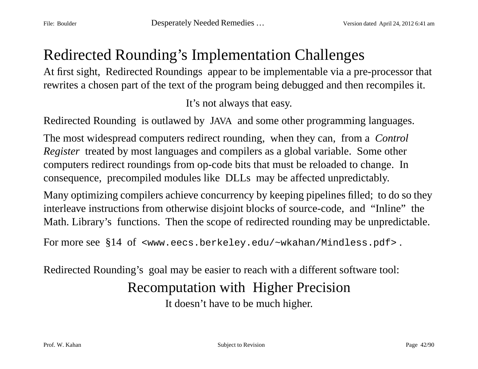### Redirected Rounding's Implementation Challenges

At first sight, Redirected Roundings appear to be implementable via a pre-processor that rewrites a chosen part of the text of the program being debugged and then recompiles it.

It's not always that easy.

Redirected Rounding is outlawed by JAVA and some other programming languages.

The most widespread computers redirect rounding, when they can, from a *Control Register* treated by most languages and compilers as a global variable. Some other computers redirect roundings from op-code bits that must be reloaded to change. In consequence, precompiled modules like DLLs may be affected unpredictably.

Many optimizing compilers achieve concurrency by keeping pipelines filled; to do so they interleave instructions from otherwise disjoint blocks of source-code, and "Inline" the Math. Library's functions. Then the scope of redirected rounding may be unpredictable.

For more see §14 of <www.eecs.berkeley.edu/~wkahan/Mindless.pdf>.

Redirected Rounding's goal may be easier to reach with a different software tool:

### Recomputation with Higher Precision

It doesn't have to be much higher.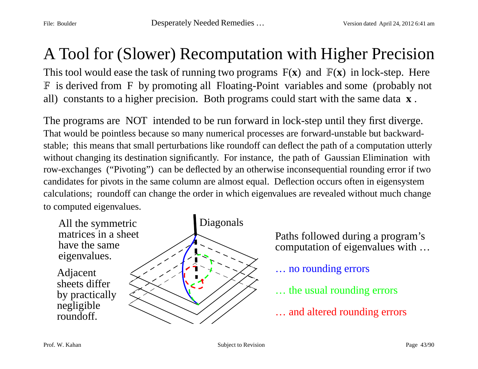## A Tool for (Slower) Recomputation with Higher Precision

This tool would ease the task of running two programs  $F(x)$  and  $F(x)$  in lock-step. Here F is derived from F by promoting all Floating-Point variables and some (probably not all) constants to a higher precision. Both programs could start with the same data **<sup>x</sup>** .

The programs are NOT intended to be run forward in lock-step until they first diverge. That would be pointless because so many numerical processes are forward-unstable but backwardstable; this means that small perturbations like roundoff can deflect the path of a computation utterly without changing its destination significantly. For instance, the path of Gaussian Elimination with row-exchanges ("Pivoting") can be deflected by an otherwise inconsequential rounding error if two candidates for pivots in the same column are almost equal. Deflection occurs often in eigensystem calculations; roundoff can change the order in which eigenvalues are revealed without much change to computed eigenvalues.



Paths followed during a program's computation of eigenvalues with …

- … no rounding errors
- … the usual rounding errors
- … and altered rounding errors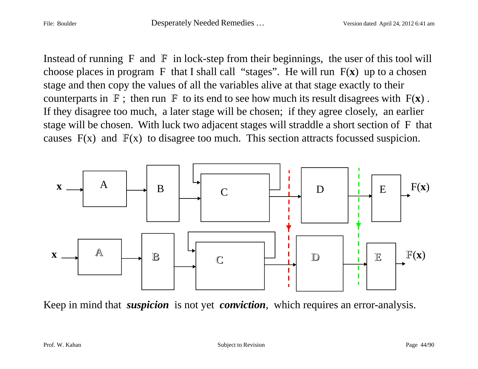Instead of running F and  $\mathbb F$  in lock-step from their beginnings, the user of this tool will choose places in program F that I shall call "stages". He will run F(**x**) up to a chosen stage and then copy the values of all the variables alive at that stage exactly to their counterparts in  $\mathbb{F}$ ; then run  $\mathbb{F}$  to its end to see how much its result disagrees with  $F(x)$ . If they disagree too much, a later stage will be chosen; if they agree closely, an earlier stage will be chosen. With luck two adjacent stages will straddle a short section of F that causes  $F(x)$  and  $F(x)$  to disagree too much. This section attracts focussed suspicion.



Keep in mind that *suspicion* is not yet *conviction*, which requires an error-analysis.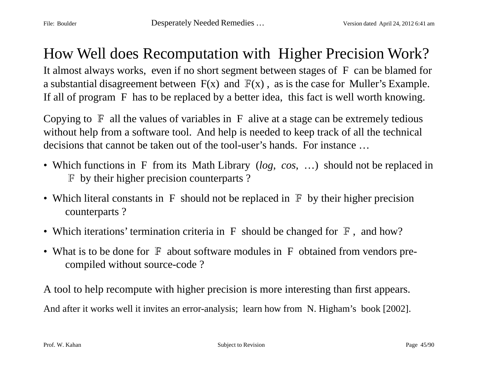### How Well does Recomputation with Higher Precision Work?

It almost always works, even if no short segment between stages of F can be blamed for a substantial disagreement between  $F(x)$  and  $\overline{F}(x)$ , as is the case for Muller's Example. If all of program F has to be replaced by a better idea, this fact is well worth knowing.

Copying to  $\mathbb F$  all the values of variables in  $\mathbb F$  alive at a stage can be extremely tedious without help from a software tool. And help is needed to keep track of all the technical decisions that cannot be taken out of the tool-user's hands. For instance …

- Which functions in F from its Math Library (*log*, *cos*, …) should not be replaced in F by their higher precision counterparts ?
- Which literal constants in F should not be replaced in  $\mathbb F$  by their higher precision counterparts ?
- Which iterations' termination criteria in F should be changed for  $\mathbb F$ , and how?
- What is to be done for  $\mathbb F$  about software modules in F obtained from vendors precompiled without source-code ?

A tool to help recompute with higher precision is more interesting than first appears. And after it works well it invites an error-analysis; learn how from N. Higham's book [2002].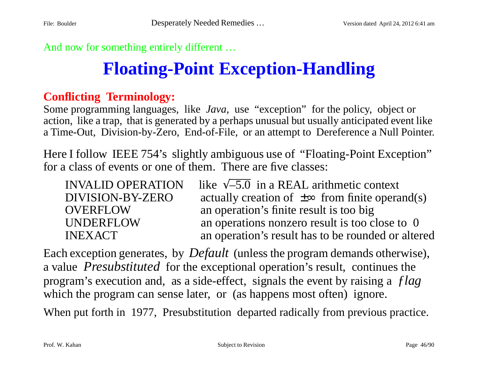And now for something entirely different ...

# **Floating-Point Exception-Handling**

### **Conflicting Terminology:**

Some programming languages, like *Java*, use "exception" for the policy, object or action, like a trap, that is generated by a perhaps unusual but usually anticipated event like a Time-Out, Division-by-Zero, End-of-File, or an attempt to Dereference a Null Pointer.

Here I follow IEEE 754's slightly ambiguous use of "Floating-Point Exception" for a class of events or one of them. There are five classes:

| <b>INVALID OPERATION</b> | like $\sqrt{-5.0}$ in a REAL arithmetic context         |
|--------------------------|---------------------------------------------------------|
| DIVISION-BY-ZERO         | actually creation of $\pm\infty$ from finite operand(s) |
| OVERFLOW                 | an operation's finite result is too big                 |
| UNDERFLOW                | an operations nonzero result is too close to 0          |
| INEXACT                  | an operation's result has to be rounded or altered      |
|                          |                                                         |

Each exception generates, by *Default* (unless the program demands otherwise), a value *Presubstituted* for the exceptional operation's result, continues the program's execution and, as a side-effect, signals the event by raising a *ƒlag* which the program can sense later, or (as happens most often) ignore.

When put forth in 1977, Presubstitution departed radically from previous practice.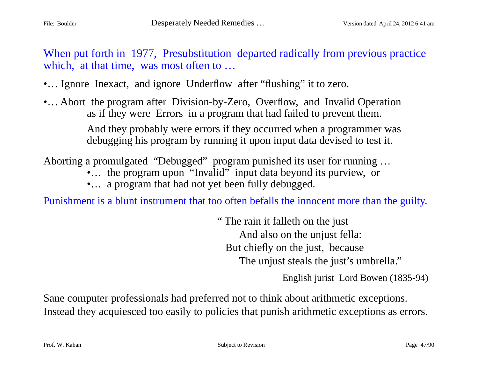When put forth in 1977, Presubstitution departed radically from previous practice which, at that time, was most often to ...

•... Ignore Inexact, and ignore Underflow after "flushing" it to zero.

•... Abort the program after Division-by-Zero, Overflow, and Invalid Operation as if they were Errors in a program that had failed to prevent them. And they probably were errors if they occurred when a programmer was debugging his program by running it upon input data devised to test it.

Aborting a promulgated "Debugged" program punished its user for running …

- •... the program upon "Invalid" input data beyond its purview, or
- •… a program that had not yet been fully debugged.

Punishment is a blunt instrument that too often befalls the innocent more than the guilty.

" The rain it falleth on the just And also on the unjust fella: But chiefly on the just, because The unjust steals the just's umbrella."

English jurist Lord Bowen (1835-94)

Sane computer professionals had preferred not to think about arithmetic exceptions. Instead they acquiesced too easily to policies that punish arithmetic exceptions as errors.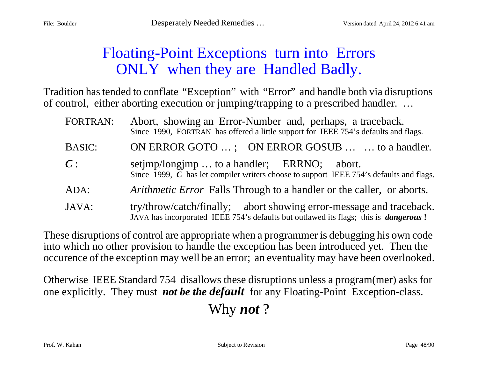### Floating-Point Exceptions turn into Errors ONLY when they are Handled Badly.

Tradition has tended to conflate "Exception" with "Error" and handle both via disruptions of control, either aborting execution or jumping/trapping to a prescribed handler. …

| FORTRAN:      | Abort, showing an Error-Number and, perhaps, a traceback.<br>Since 1990, FORTRAN has offered a little support for IEEE 754's defaults and flags.                    |
|---------------|---------------------------------------------------------------------------------------------------------------------------------------------------------------------|
| <b>BASIC:</b> | ON ERROR GOTO ; ON ERROR GOSUB   to a handler.                                                                                                                      |
| C:            | setimp/longimp  to a handler; ERRNO; abort.<br>Since 1999, C has let compiler writers choose to support IEEE 754's defaults and flags.                              |
| ADA:          | <i>Arithmetic Error</i> Falls Through to a handler or the caller, or aborts.                                                                                        |
| JAVA:         | try/throw/catch/finally; abort showing error-message and traceback.<br>JAVA has incorporated IEEE 754's defaults but outlawed its flags; this is <i>dangerous</i> ! |

These disruptions of control are appropriate when a programmer is debugging his own code into which no other provision to handle the exception has been introduced yet. Then the occurence of the exception may well be an error; an eventuality may have been overlooked.

Otherwise IEEE Standard 754 disallows these disruptions unless a program(mer) asks for one explicitly. They must *not be the default* for any Floating-Point Exception-class.

Why *not* ?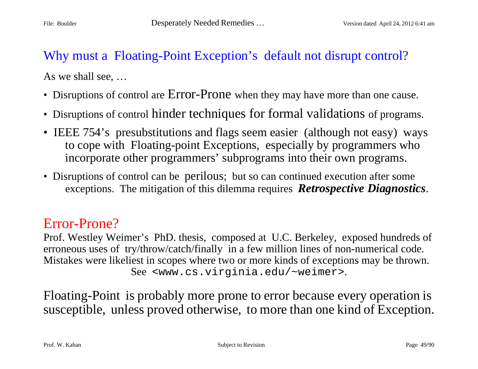## Why must a Floating-Point Exception's default not disrupt control? As we shall see, …

- Disruptions of control are Error-Prone when they may have more than one cause.
- Disruptions of control hinder techniques for formal validations of programs.
- IEEE 754's presubstitutions and flags seem easier (although not easy) ways to cope with Floating-point Exceptions, especially by programmers who incorporate other programmers' subprograms into their own programs.
- Disruptions of control can be perilous; but so can continued execution after some exceptions. The mitigation of this dilemma requires *Retrospective Diagnostics*.

### Error-Prone?

Prof. Westley Weimer's PhD. thesis, composed at U.C. Berkeley, exposed hundreds of erroneous uses of try/throw/catch/finally in a few million lines of non-numerical code. Mistakes were likeliest in scopes where two or more kinds of exceptions may be thrown. See <www.cs.virginia.edu/~weimer>.

Floating-Point is probably more prone to error because every operation is susceptible, unless proved otherwise, to more than one kind of Exception.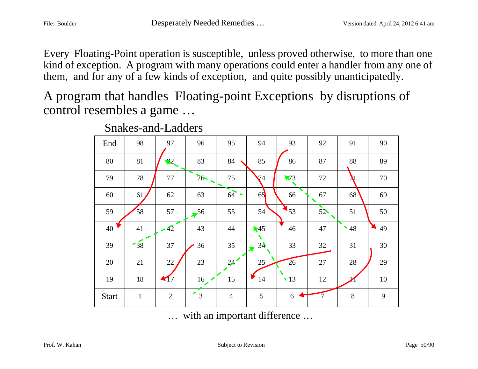Every Floating-Point operation is susceptible, unless proved otherwise, to more than one kind of exception. A program with many operations could enter a handler from any one of them, and for any of a few kinds of exception, and quite possibly unanticipatedly.

A program that handles Floating-point Exceptions by disruptions of control resembles a game …

| End          | 98           | 97                     | 96              | 95              | 94                         | 93             | 92     | 91         | 90      |
|--------------|--------------|------------------------|-----------------|-----------------|----------------------------|----------------|--------|------------|---------|
| 80           | 81           | $\bullet$ 2            | 83              | 84              | 85                         | 86             | 87     | 88         | 89      |
| 79           | 78           | 77                     | 76              | 75              | $\nabla^4$                 | $\nabla 3$     | 72     |            | 70      |
| 60           | 61           | 62                     | 63              | $64 -$          | 65                         | 66             | 67     | 68         | 69      |
| 59           | 58           | 57                     | $\sqrt{56}$     | 55              | 54                         | $\frac{1}{53}$ | 52     | 51         | 50      |
| 40           | 41           | $-42$                  | 43              | 44              | $\blacktriangleright$ 45   | 46             | 47     | $\cdot$ 48 | Σ<br>49 |
| 39           | $-38$        | 37                     | 36              | 35              | 34<br>$\blacktriangledown$ | 33             | 32     | 31         | 30      |
| 20           | 21           | 22                     | 23              | 24 <sup>7</sup> | 25                         | 26             | $27\,$ | 28         | 29      |
| 19           | 18           | $\blacktriangleleft$ 7 | 16 <sub>7</sub> | 15              | ▸<br>14                    | $\cdot$ 13     | 12     |            | 10      |
| <b>Start</b> | $\mathbf{1}$ | $\overline{2}$         | $\rightarrow$ 3 | $\overline{4}$  | 5                          | $6\,$          |        | 8          | 9       |

Snakes-and-Ladders

… with an important difference …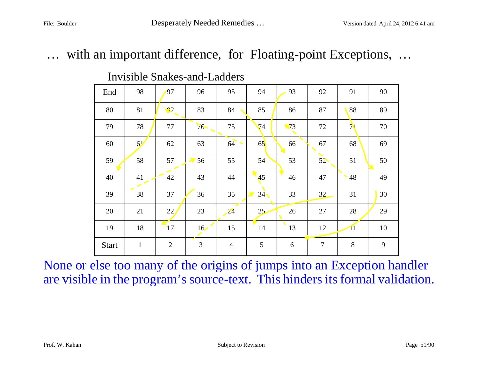### … with an important difference, for Floating-point Exceptions, …

| End          | 98             | 97             | 96              | 95             | 94                        | 93         | 92             | 91               | 90 |
|--------------|----------------|----------------|-----------------|----------------|---------------------------|------------|----------------|------------------|----|
| 80           | 81             | $\sqrt{2}$     | 83              | 84             | 85                        | 86         | 87             | 88               | 89 |
| 79           | 78             | 77             | $76-$           | 75             | $\nabla$                  | $\nabla 3$ | 72             | $\gamma_{\rm l}$ | 70 |
| 60           | 6 <sup>1</sup> | 62             | 63              | $64 -$         | 65                        | 66         | 67             | 68               | 69 |
| 59           | 58             | 57             | $\sqrt{56}$     | 55             | 54                        | 53         | 52             | 51               | 50 |
| 40           | 41             | 42             | 43              | 44             | 45                        | 46         | 47             | $\cdot$ 48       | 49 |
| 39           | 38             | 37             | 36              | 35             | 34 <sub>1</sub><br>$\sum$ | 33         | 32             | 31               | 30 |
| 20           | 21             | 22             | 23              | 24             | 25                        | 26         | 27             | 28               | 29 |
| 19           | 18             | 17             | 16 <sub>o</sub> | 15             | 14                        | 13         | 12             | $\overline{11}$  | 10 |
| <b>Start</b> | $\mathbf{1}$   | $\overline{2}$ | 3               | $\overline{4}$ | 5                         | 6          | $\overline{7}$ | 8                | 9  |

#### Invisible Snakes-and-Ladders

None or else too many of the origins of jumps into an Exception handler are visible in the program's source-text. This hinders its formal validation.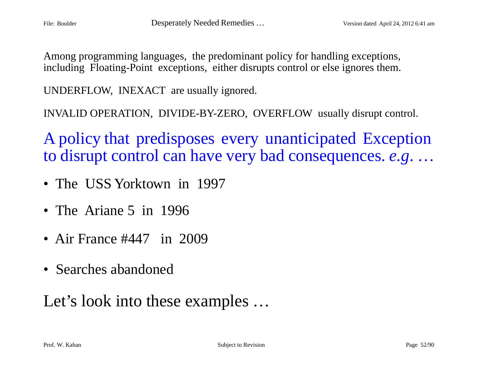Among programming languages, the predominant policy for handling exceptions, including Floating-Point exceptions, either disrupts control or else ignores them.

UNDERFLOW, INEXACT are usually ignored.

INVALID OPERATION, DIVIDE-BY-ZERO, OVERFLOW usually disrupt control.

A policy that predisposes every unanticipated Exception to disrupt control can have very bad consequences. *e.g*. …

- The USS Yorktown in 1997
- The Ariane 5 in 1996
- Air France #447 in 2009
- Searches abandoned

Let's look into these examples ...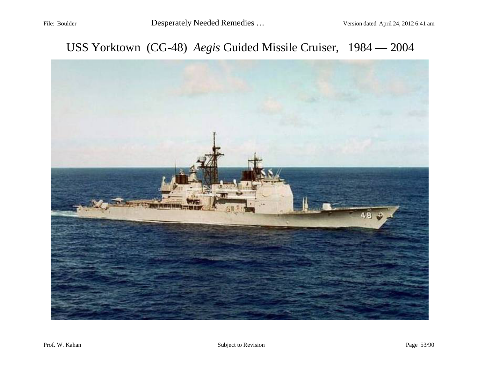### USS Yorktown (CG-48) *Aegis* Guided Missile Cruiser, 1984 — 2004

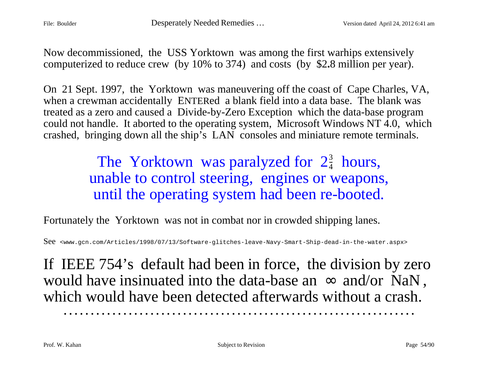Now decommissioned, the USS Yorktown was among the first warhips extensively computerized to reduce crew (by 10% to 374) and costs (by \$2**.**8 million per year).

On 21 Sept. 1997, the Yorktown was maneuvering off the coast of Cape Charles, VA, when a crewman accidentally ENTERed a blank field into a data base. The blank was treated as a zero and caused a Divide-by-Zero Exception which the data-base program could not handle. It aborted to the operating system, Microsoft Windows NT  $\overline{4.0}$ , which crashed, bringing down all the ship's LAN consoles and miniature remote terminals.

### The Yorktown was paralyzed for  $2\frac{3}{4}$  hours, unable to control steering, engines or weapons, until the operating system had been re-booted. 4 --

Fortunately the Yorktown was not in combat nor in crowded shipping lanes.

See <www.gcn.com/Articles/1998/07/13/Software-glitches-leave-Navy-Smart-Ship-dead-in-the-water.aspx>

**. . . . . . . . . . . . . . . . . . . . . . . . . . . . . . . . . . . . . . . . . . . . . . . . . . . . . . . . . . . . . . . . .**

If IEEE 754's default had been in force, the division by zero would have insinuated into the data-base an  $\infty$  and/or NaN, which would have been detected afterwards without a crash.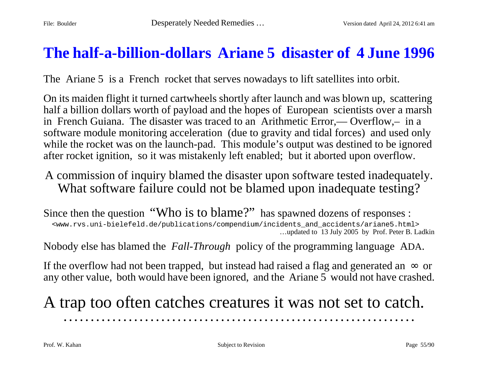### **The half-a-billion-dollars Ariane 5 disaster of 4 June 1996**

The Ariane 5 is a French rocket that serves nowadays to lift satellites into orbit.

On its maiden flight it turned cartwheels shortly after launch and was blown up, scattering half a billion dollars worth of payload and the hopes of European scientists over a marsh in French Guiana. The disaster was traced to an Arithmetic Error,— Overflow,– in a software module monitoring acceleration (due to gravity and tidal forces) and used only while the rocket was on the launch-pad. This module's output was destined to be ignored after rocket ignition, so it was mistakenly left enabled; but it aborted upon overflow.

A commission of inquiry blamed the disaster upon software tested inadequately. What software failure could not be blamed upon inadequate testing?

Since then the question "Who is to blame?" has spawned dozens of responses : <www.rvs.uni-bielefeld.de/publications/compendium/incidents\_and\_accidents/ariane5.html> …updated to 13 July 2005 by Prof. Peter B. Ladkin

Nobody else has blamed the *Fall-Through* policy of the programming language ADA.

If the overflow had not been trapped, but instead had raised a flag and generated an  $\infty$  or any other value, both would have been ignored, and the Ariane 5 would not have crashed.

## A trap too often catches creatures it was not set to catch.

**. . . . . . . . . . . . . . . . . . . . . . . . . . . . . . . . . . . . . . . . . . . . . . . . . . . . . . . . . . . . . . . . .**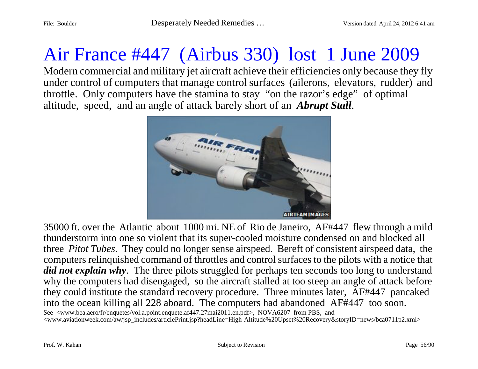# Air France #447 (Airbus 330) lost 1 June 2009

Modern commercial and military jet aircraft achieve their efficiencies only because they fly under control of computers that manage control surfaces (ailerons, elevators, rudder) and throttle. Only computers have the stamina to stay "on the razor's edge" of optimal altitude, speed, and an angle of attack barely short of an *Abrupt Stall*.



35000 ft. over the Atlantic about 1000 mi. NE of Rio de Janeiro, AF#447 flew through a mild thunderstorm into one so violent that its super-cooled moisture condensed on and blocked all three *Pitot Tubes*. They could no longer sense airspeed. Bereft of consistent airspeed data, the computers relinquished command of throttles and control surfaces to the pilots with a notice that *did not explain why*. The three pilots struggled for perhaps ten seconds too long to understand why the computers had disengaged, so the aircraft stalled at too steep an angle of attack before they could institute the standard recovery procedure. Three minutes later, AF#447 pancaked into the ocean killing all 228 aboard. The computers had abandoned AF#447 too soon. See <www.bea.aero/fr/enquetes/vol.a.point.enquete.af447.27mai2011.en.pdf>, NOVA6207 from PBS, and <www.aviationweek.com/aw/jsp\_includes/articlePrint.jsp?headLine=High-Altitude%20Upset%20Recovery&storyID=news/bca0711p2.xml>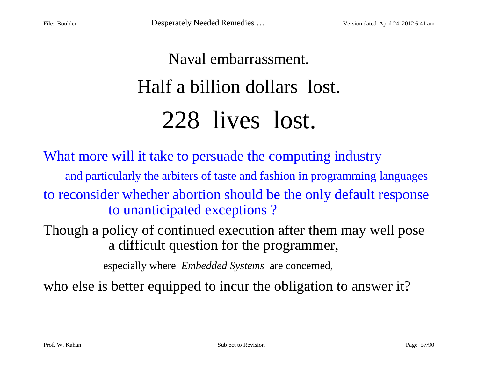# Naval embarrassment. Half a billion dollars lost. 228 lives lost.

What more will it take to persuade the computing industry and particularly the arbiters of taste and fashion in programming languages to reconsider whether abortion should be the only default response to unanticipated exceptions ?

Though a policy of continued execution after them may well pose a difficult question for the programmer,

especially where *Embedded Systems* are concerned,

who else is better equipped to incur the obligation to answer it?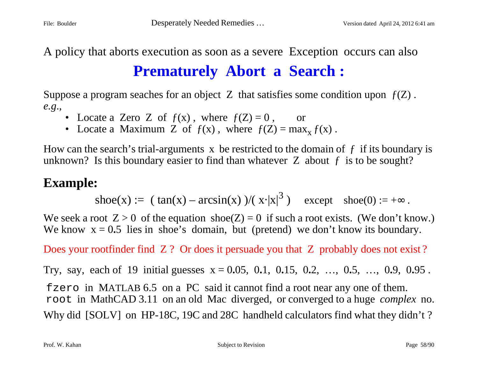A policy that aborts execution as soon as a severe Exception occurs can also

### **Prematurely Abort a Search :**

Suppose a program seaches for an object Z that satisfies some condition upon  $f(Z)$ . *e.g*.,

- Locate a Zero Z of  $f(x)$ , where  $f(Z) = 0$ , or
- Locate a Maximum Z of  $f(x)$ , where  $f(Z) = max_x f(x)$ .

How can the search's trial-arguments x be restricted to the domain of  $f$  if its boundary is unknown? Is this boundary easier to find than whatever  $Z$  about  $f$  is to be sought?

### **Example:**

$$
shoe(x) := (tan(x) - arcsin(x)) / (x |x|^3)
$$
 except  $shoe(0) := +∞$ .

We seek a root  $Z > 0$  of the equation shoe(Z) = 0 if such a root exists. (We don't know.) We know  $x = 0.5$  lies in shoe's domain, but (pretend) we don't know its boundary.

Does your rootfinder find Z? Or does it persuade you that Z probably does not exist?

Try, say, each of 19 initial guesses x = 0**.**05, 0**.**1, 0**.**15, 0**.**2, …, 0**.**5, …, 0**.**9, 0**.**95 .

fzero in MATLAB 6.5 on a PC said it cannot find a root near any one of them. root in MathCAD 3.11 on an old Mac diverged, or converged to a huge *complex* no. Why did [SOLV] on HP-18C, 19C and 28C handheld calculators find what they didn't?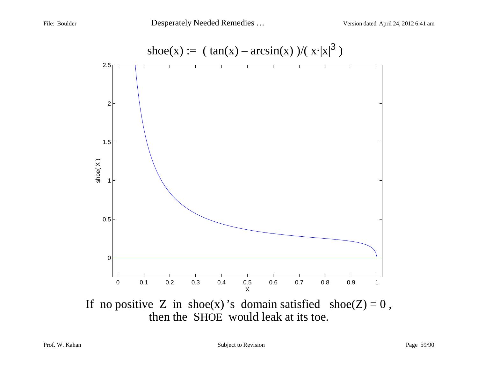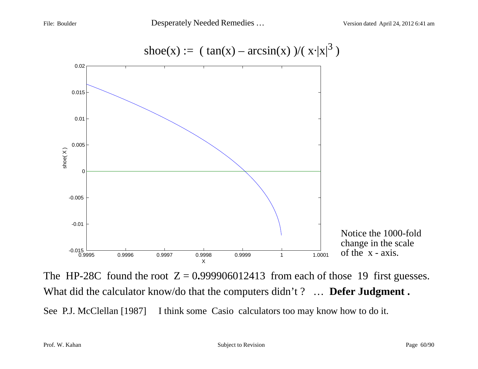File: Boulder **Desperately Needed Remedies ...** Version dated April 24, 2012 6:41 am



The HP-28C found the root  $Z = 0.999906012413$  from each of those 19 first guesses. What did the calculator know/do that the computers didn't? ... **Defer Judgment.** See P.J. McClellan [1987] I think some Casio calculators too may know how to do it.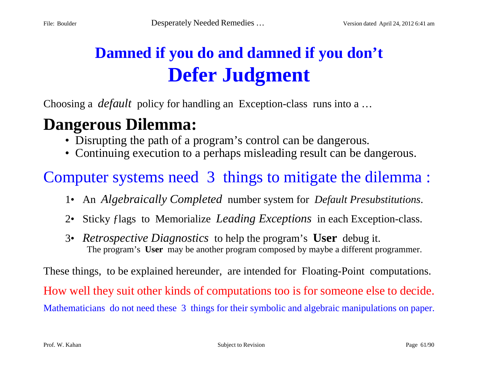# **Damned if you do and damned if you don't Defer Judgment**

Choosing a *default* policy for handling an Exception-class runs into a …

## **Dangerous Dilemma:**

- Disrupting the path of a program's control can be dangerous.
- Continuing execution to a perhaps misleading result can be dangerous.

## Computer systems need 3 things to mitigate the dilemma :

- 1• An *Algebraically Completed* number system for *Default Presubstitutions*.
- 2• Sticky ƒlags to Memorialize *Leading Exceptions* in each Exception-class.
- 3• *Retrospective Diagnostics* to help the program's **User** debug it. The program's **User** may be another program composed by maybe a different programmer.

These things, to be explained hereunder, are intended for Floating-Point computations. How well they suit other kinds of computations too is for someone else to decide. Mathematicians do not need these 3 things for their symbolic and algebraic manipulations on paper.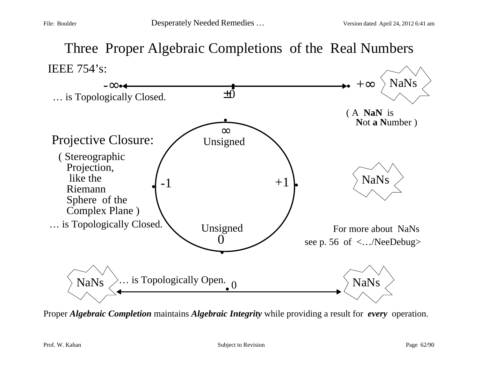Three Proper Algebraic Completions of the Real Numbers IEEE 754's:



Proper *Algebraic Completion* maintains *Algebraic Integrity* while providing a result for *every* operation.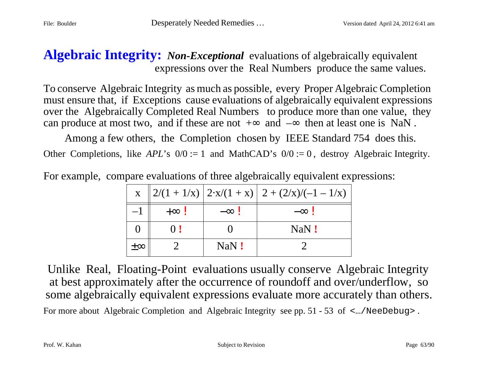### **Algebraic Integrity:** *Non-Exceptional* evaluations of algebraically equivalent expressions over the Real Numbers produce the same values.

To conserve Algebraic Integrity as much as possible, every Proper Algebraic Completion must ensure that, if Exceptions cause evaluations of algebraically equivalent expressions over the Algebraically Completed Real Numbers to produce more than one value, they can produce at most two, and if these are not  $+\infty$  and  $-\infty$  then at least one is NaN.

 Among a few others, the Completion chosen by IEEE Standard 754 does this. Other Completions, like *APL*'s  $0/0 := 1$  and MathCAD's  $0/0 := 0$ , destroy Algebraic Integrity.

|  | For example, compare evaluations of three algebraically equivalent expressions: |  |
|--|---------------------------------------------------------------------------------|--|

|    |           |           | x $\  2/(1 + 1/x)   2 \cdot x/(1 + x)   2 + (2/x)/(-1 - 1/x)$ |
|----|-----------|-----------|---------------------------------------------------------------|
|    | $+\infty$ | $-\infty$ | $-\infty$                                                     |
|    |           |           | NaN !                                                         |
| ±∞ |           | NaN!      |                                                               |

Unlike Real, Floating-Point evaluations usually conserve Algebraic Integrity at best approximately after the occurrence of roundoff and over/underflow, so some algebraically equivalent expressions evaluate more accurately than others.

For more about Algebraic Completion and Algebraic Integrity see pp. 51 - 53 of <…/NeeDebug> .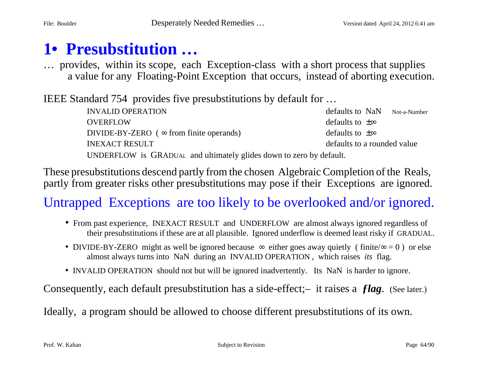## **1• Presubstitution …**

… provides, within its scope, each Exception-class with a short process that supplies a value for any Floating-Point Exception that occurs, instead of aborting execution.

IEEE Standard 754 provides five presubstitutions by default for …

| <b>INVALID OPERATION</b>                                            | defaults to NaN Not-a-Number |  |  |  |  |  |
|---------------------------------------------------------------------|------------------------------|--|--|--|--|--|
| <b>OVERFLOW</b>                                                     | defaults to $\pm\infty$      |  |  |  |  |  |
| DIVIDE-BY-ZERO ( $\infty$ from finite operands)                     | defaults to $\pm\infty$      |  |  |  |  |  |
| <b>INEXACT RESULT</b>                                               | defaults to a rounded value  |  |  |  |  |  |
| UNDERFLOW is GRADUAL and ultimately glides down to zero by default. |                              |  |  |  |  |  |

These presubstitutions descend partly from the chosen Algebraic Completion of the Reals, partly from greater risks other presubstitutions may pose if their Exceptions are ignored.

Untrapped Exceptions are too likely to be overlooked and/or ignored.

- From past experience, INEXACT RESULT and UNDERFLOW are almost always ignored regardless of their presubstitutions if these are at all plausible. Ignored underflow is deemed least risky if GRADUAL.
- DIVIDE-BY-ZERO might as well be ignored because  $\infty$  either goes away quietly (finite/ $\infty = 0$ ) or else almost always turns into NaN during an INVALID OPERATION , which raises *its* flag.
- INVALID OPERATION should not but will be ignored inadvertently. Its NaN is harder to ignore.

Consequently, each default presubstitution has a side-effect;– it raises a *ƒlag*. (See later.)

Ideally, a program should be allowed to choose different presubstitutions of its own.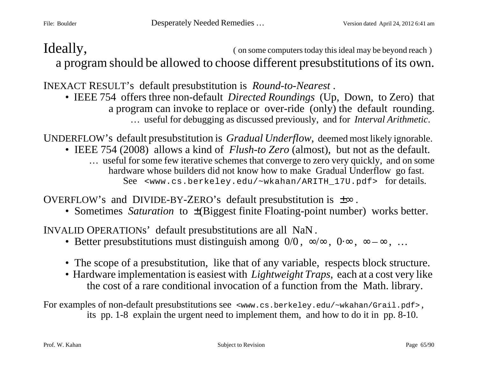Ideally,  $\text{I}\left(\text{I}\right)$  (on some computers today this ideal may be beyond reach) a program should be allowed to choose different presubstitutions of its own.

INEXACT RESULT's default presubstitution is *Round-to-Nearest* .

• IEEE 754 offers three non-default *Directed Roundings* (Up, Down, to Zero) that a program can invoke to replace or over-ride (only) the default rounding. … useful for debugging as discussed previously, and for *Interval Arithmetic*.

UNDERFLOW's default presubstitution is *Gradual Underflow*, deemed most likely ignorable.

• IEEE 754 (2008) allows a kind of *Flush-to Zero* (almost), but not as the default. … useful for some few iterative schemes that converge to zero very quickly, and on some hardware whose builders did not know how to make Gradual Underflow go fast. See <www.cs.berkeley.edu/~wkahan/ARITH\_17U.pdf> for details.

OVERFLOW's and DIVIDE-BY-ZERO's default presubstitution is  $\pm \infty$ .

• Sometimes *Saturation* to  $\pm$ (Biggest finite Floating-point number) works better.

INVALID OPERATIONs' default presubstitutions are all NaN .

- Better presubstitutions must distinguish among  $0/0$ ,  $\infty/\infty$ ,  $0.\infty$ ,  $\infty-\infty$ , ...
- The scope of a presubstitution, like that of any variable, respects block structure.
- Hardware implementation is easiest with *Lightweight Traps*, each at a cost very like the cost of a rare conditional invocation of a function from the Math. library.

For examples of non-default presubstitutions see <www.cs.berkeley.edu/~wkahan/Grail.pdf>, its pp. 1-8 explain the urgent need to implement them, and how to do it in pp. 8-10.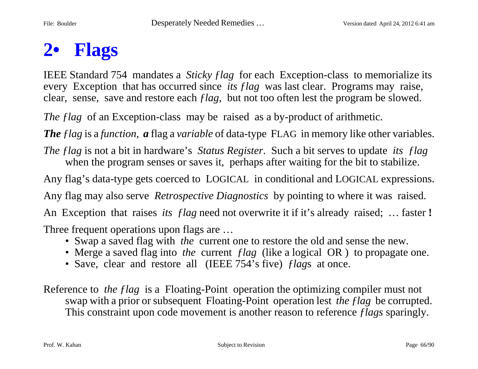# **2• Flags**

IEEE Standard 754 mandates a *Sticky ƒlag* for each Exception-class to memorialize its every Exception that has occurred since *its flag* was last clear. Programs may raise, clear, sense, save and restore each *ƒlag*, but not too often lest the program be slowed.

*The flag* of an Exception-class may be raised as a by-product of arithmetic.

*The flag* is a *function*, *a* flag a *variable* of data-type FLAG in memory like other variables.

*The ƒlag* is not a bit in hardware's *Status Register*. Such a bit serves to update *its ƒlag* when the program senses or saves it, perhaps after waiting for the bit to stabilize.

Any flag's data-type gets coerced to LOGICAL in conditional and LOGICAL expressions.

Any flag may also serve *Retrospective Diagnostics* by pointing to where it was raised.

An Exception that raises *its ƒlag* need not overwrite it if it's already raised; … faster **!** Three frequent operations upon flags are ...

- Swap a saved flag with *the* current one to restore the old and sense the new.
- Merge a saved flag into *the* current *flag* (like a logical OR) to propagate one.
- Save, clear and restore all (IEEE 754's five) *ƒlag*s at once.

Reference to *the ƒlag* is a Floating-Point operation the optimizing compiler must not swap with a prior or subsequent Floating-Point operation lest *the ƒlag* be corrupted. This constraint upon code movement is another reason to reference *ƒlags* sparingly.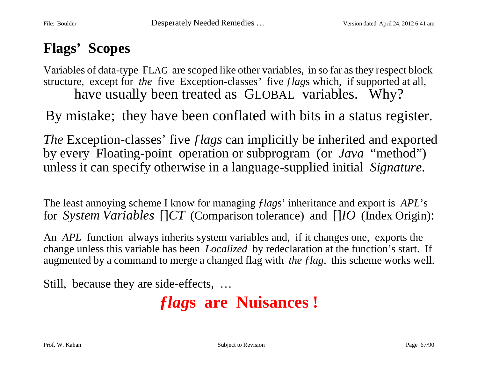### **Flags' Scopes**

Variables of data-type FLAG are scoped like other variables, in so far as they respect block structure, except for *the* five Exception-classes*'* five *ƒlag*s which, if supported at all, have usually been treated as GLOBAL variables. Why?

By mistake; they have been conflated with bits in a status register.

*The* Exception-classes' five *ƒlags* can implicitly be inherited and exported by every Floating-point operation or subprogram (or *Java* "method") unless it can specify otherwise in a language-supplied initial *Signature*.

The least annoying scheme I know for managing *ƒlag*s' inheritance and export is *APL*'s for *System Variables* []*CT* (Comparison tolerance) and []*IO* (Index Origin):

An *APL* function always inherits system variables and, if it changes one, exports the change unless this variable has been *Localized* by redeclaration at the function's start. If augmented by a command to merge a changed flag with *the ƒlag*, this scheme works well.

Still, because they are side-effects, …

# *ƒlag***s are Nuisances !**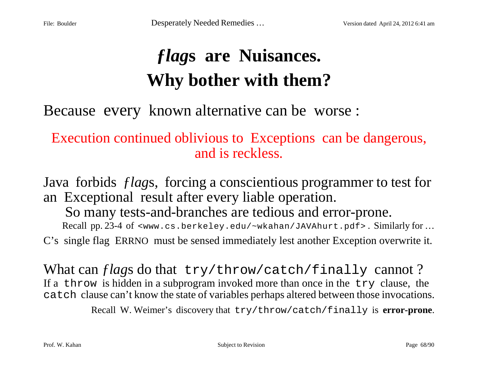# *ƒlag***s are Nuisances. Why bother with them?**

Because every known alternative can be worse :

Execution continued oblivious to Exceptions can be dangerous, and is reckless.

Java forbids *ƒlag*s, forcing a conscientious programmer to test for an Exceptional result after every liable operation. So many tests-and-branches are tedious and error-prone. Recall pp. 23-4 of <www.cs.berkeley.edu/~wkahan/JAVAhurt.pdf> . Similarly for … C's single flag ERRNO must be sensed immediately lest another Exception overwrite it.

What can *flags* do that try/throw/catch/finally cannot? If a throw is hidden in a subprogram invoked more than once in the try clause, the catch clause can't know the state of variables perhaps altered between those invocations.

Recall W. Weimer's discovery that try/throw/catch/finally is **error-prone**.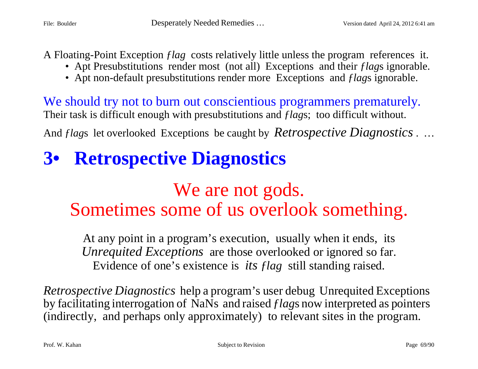A Floating-Point Exception *ƒlag* costs relatively little unless the program references it.

- Apt Presubstitutions render most (not all) Exceptions and their *flags* ignorable.
- Apt non-default presubstitutions render more Exceptions and *flags* ignorable.

We should try not to burn out conscientious programmers prematurely. Their task is difficult enough with presubstitutions and *ƒlag*s; too difficult without.

And *ƒlag*s let overlooked Exceptions be caught by *Retrospective Diagnostics* . …

# **3• Retrospective Diagnostics**

# We are not gods. Sometimes some of us overlook something.

At any point in a program's execution, usually when it ends, its *Unrequited Exceptions* are those overlooked or ignored so far. Evidence of one's existence is *its ƒlag* still standing raised.

*Retrospective Diagnostics* help a program's user debug Unrequited Exceptions by facilitating interrogation of NaNs and raised *ƒlag*s now interpreted as pointers (indirectly, and perhaps only approximately) to relevant sites in the program.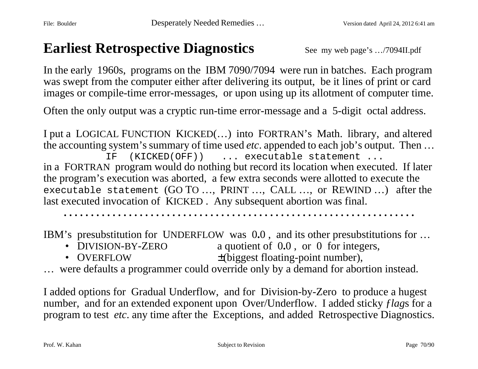### **Earliest Retrospective Diagnostics** See my web page's .../7094II.pdf

In the early 1960s, programs on the IBM 7090/7094 were run in batches. Each program was swept from the computer either after delivering its output, be it lines of print or card images or compile-time error-messages, or upon using up its allotment of computer time.

Often the only output was a cryptic run-time error-message and a 5-digit octal address.

I put a LOGICAL FUNCTION KICKED(…) into FORTRAN's Math. library, and altered the accounting system's summary of time used *etc*. appended to each job's output. Then … IF (KICKED(OFF)) ... executable statement ... in a FORTRAN program would do nothing but record its location when executed. If later the program's execution was aborted, a few extra seconds were allotted to execute the executable statement (GO TO …, PRINT …, CALL …, or REWIND …) after the last executed invocation of KICKED . Any subsequent abortion was final.

**. . . . . . . . . . . . . . . . . . . . . . . . . . . . . . . . . . . . . . . . . . . . . . . . . . . . . . . . . . . . . . . . .**

IBM's presubstitution for UNDERFLOW was 0**.**0 , and its other presubstitutions for …

- DIVISION-BY-ZERO a quotient of 0.0, or 0 for integers,
- OVERFLOW  $\pm$ (biggest floating-point number),
- … were defaults a programmer could override only by a demand for abortion instead.

I added options for Gradual Underflow, and for Division-by-Zero to produce a hugest number, and for an extended exponent upon Over/Underflow. I added sticky *ƒlag*s for a program to test *etc*. any time after the Exceptions, and added Retrospective Diagnostics.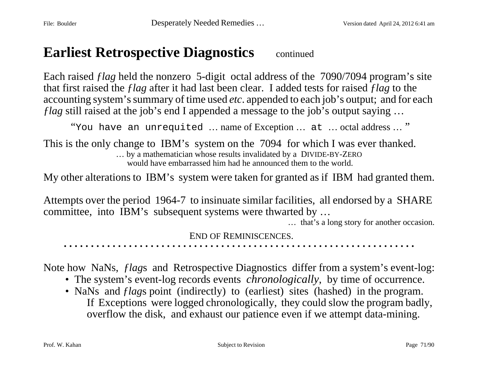### **Earliest Retrospective Diagnostics** continued

Each raised *ƒlag* held the nonzero 5-digit octal address of the 7090/7094 program's site that first raised the *ƒlag* after it had last been clear. I added tests for raised *ƒlag* to the accounting system's summary of time used *etc*. appended to each job's output; and for each *flag* still raised at the job's end I appended a message to the job's output saying ...

"You have an unrequited … name of Exception … at … octal address … "

This is the only change to IBM's system on the 7094 for which I was ever thanked. … by a mathematician whose results invalidated by a DIVIDE-BY-ZERO would have embarrassed him had he announced them to the world.

My other alterations to IBM's system were taken for granted as if IBM had granted them.

Attempts over the period 1964-7 to insinuate similar facilities, all endorsed by a SHARE committee, into IBM's subsequent systems were thwarted by …

… that's a long story for another occasion.

END OF REMINISCENCES.

**. . . . . . . . . . . . . . . . . . . . . . . . . . . . . . . . . . . . . . . . . . . . . . . . . . . . . . . . . . . . . . . . .**

Note how NaNs, *ƒlag*s and Retrospective Diagnostics differ from a system's event-log:

- The system's event-log records events *chronologically*, by time of occurrence.
- NaNs and *flags* point (indirectly) to (earliest) sites (hashed) in the program. If Exceptions were logged chronologically, they could slow the program badly, overflow the disk, and exhaust our patience even if we attempt data-mining.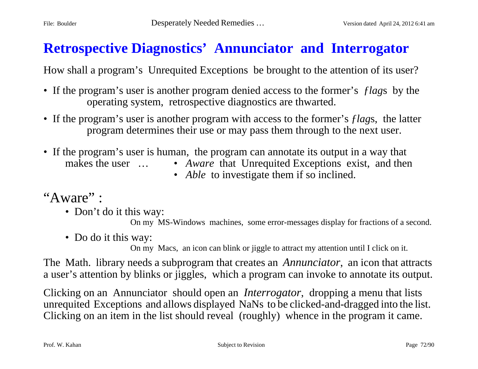### **Retrospective Diagnostics' Annunciator and Interrogator**

How shall a program's Unrequited Exceptions be brought to the attention of its user?

- If the program's user is another program denied access to the former's *ƒlag*s by the operating system, retrospective diagnostics are thwarted.
- If the program's user is another program with access to the former's *ƒlag*s, the latter program determines their use or may pass them through to the next user.
- If the program's user is human, the program can annotate its output in a way that makes the user ... • *Aware* that Unrequited Exceptions exist, and then
	-
	- *Able* to investigate them if so inclined.

"Aware":

• Don't do it this way:

On my MS-Windows machines, some error-messages display for fractions of a second.

• Do do it this way:

On my Macs, an icon can blink or jiggle to attract my attention until I click on it.

The Math. library needs a subprogram that creates an *Annunciator*, an icon that attracts a user's attention by blinks or jiggles, which a program can invoke to annotate its output.

Clicking on an Annunciator should open an *Interrogator*, dropping a menu that lists unrequited Exceptions and allows displayed NaNs to be clicked-and-dragged into the list. Clicking on an item in the list should reveal (roughly) whence in the program it came.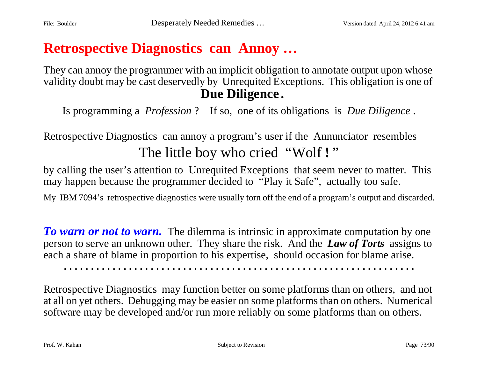## **Retrospective Diagnostics can Annoy …**

They can annoy the programmer with an implicit obligation to annotate output upon whose validity doubt may be cast deservedly by Unrequited Exceptions. This obligation is one of  **Due Diligence .**

Is programming a *Profession* ? If so, one of its obligations is *Due Diligence* .

Retrospective Diagnostics can annoy a program's user if the Annunciator resembles The little boy who cried "Wolf!"

by calling the user's attention to Unrequited Exceptions that seem never to matter. This may happen because the programmer decided to "Play it Safe", actually too safe.

My IBM 7094's retrospective diagnostics were usually torn off the end of a program's output and discarded.

*To warn or not to warn.* The dilemma is intrinsic in approximate computation by one person to serve an unknown other. They share the risk. And the *Law of Torts* assigns to each a share of blame in proportion to his expertise, should occasion for blame arise.

**. . . . . . . . . . . . . . . . . . . . . . . . . . . . . . . . . . . . . . . . . . . . . . . . . . . . . . . . . . . . . . . . .**

Retrospective Diagnostics may function better on some platforms than on others, and not at all on yet others. Debugging may be easier on some platforms than on others. Numerical software may be developed and/or run more reliably on some platforms than on others.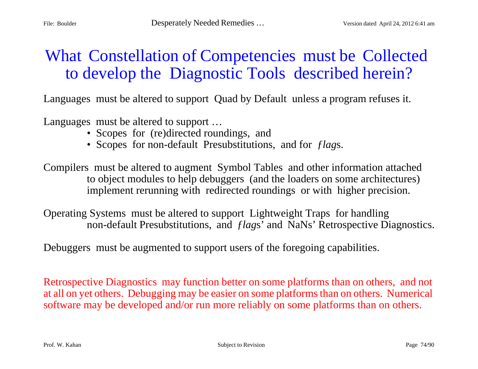## What Constellation of Competencies must be Collected to develop the Diagnostic Tools described herein?

Languages must be altered to support Quad by Default unless a program refuses it.

Languages must be altered to support …

- Scopes for (re)directed roundings, and
- Scopes for non-default Presubstitutions, and for *ƒlag*s.

Compilers must be altered to augment Symbol Tables and other information attached to object modules to help debuggers (and the loaders on some architectures) implement rerunning with redirected roundings or with higher precision.

Operating Systems must be altered to support Lightweight Traps for handling non-default Presubstitutions, and *ƒlag*s' and NaNs' Retrospective Diagnostics.

Debuggers must be augmented to support users of the foregoing capabilities.

Retrospective Diagnostics may function better on some platforms than on others, and not at all on yet others. Debugging may be easier on some platforms than on others. Numerical software may be developed and/or run more reliably on some platforms than on others.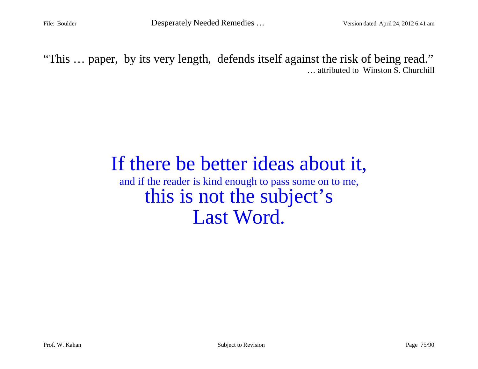"This … paper, by its very length, defends itself against the risk of being read." … attributed to Winston S. Churchill

# If there be better ideas about it,

and if the reader is kind enough to pass some on to me, this is not the subject's Last Word.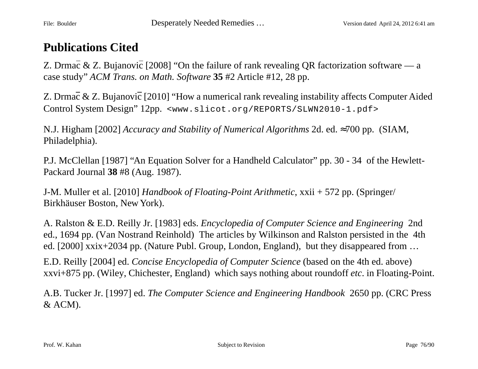### **Publications Cited**

Z. Drmac & Z. Bujanovic [2008] "On the failure of rank revealing QR factorization software — a case study" *ACM Trans. on Math. Software* **35** #2 Article #12, 28 pp.

Z. Drmac & Z. Bujanovic [2010] "How a numerical rank revealing instability affects Computer Aided Control System Design" 12pp. <www.slicot.org/REPORTS/SLWN2010-1.pdf>

N.J. Higham [2002] *Accuracy and Stability of Numerical Algorithms* 2d. ed. ≈700 pp. (SIAM, Philadelphia).

P.J. McClellan [1987] "An Equation Solver for a Handheld Calculator" pp. 30 - 34 of the Hewlett-Packard Journal **38** #8 (Aug. 1987).

J-M. Muller et al. [2010] *Handbook of Floating-Point Arithmetic*, xxii + 572 pp. (Springer/ Birkhäuser Boston, New York).

A. Ralston & E.D. Reilly Jr. [1983] eds. *Encyclopedia of Computer Science and Engineering* 2nd ed., 1694 pp. (Van Nostrand Reinhold) The articles by Wilkinson and Ralston persisted in the 4th ed. [2000] xxix+2034 pp. (Nature Publ. Group, London, England), but they disappeared from ...

E.D. Reilly [2004] ed. *Concise Encyclopedia of Computer Science* (based on the 4th ed. above) xxvi+875 pp. (Wiley, Chichester, England) which says nothing about roundoff *etc*. in Floating-Point.

A.B. Tucker Jr. [1997] ed. *The Computer Science and Engineering Handbook* 2650 pp. (CRC Press & ACM).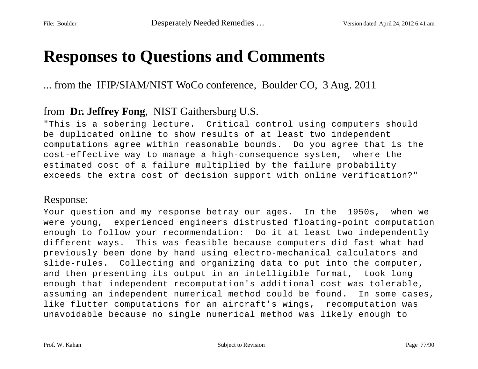## **Responses to Questions and Comments**

#### ... from the IFIP/SIAM/NIST WoCo conference, Boulder CO, 3 Aug. 2011

#### from **Dr. Jeffrey Fong**, NIST Gaithersburg U.S.

"This is a sobering lecture. Critical control using computers should be duplicated online to show results of at least two independent computations agree within reasonable bounds. Do you agree that is the cost-effective way to manage a high-consequence system, where the estimated cost of a failure multiplied by the failure probability exceeds the extra cost of decision support with online verification?"

#### Response:

Your question and my response betray our ages. In the 1950s, when we were young, experienced engineers distrusted floating-point computation enough to follow your recommendation: Do it at least two independently different ways. This was feasible because computers did fast what had previously been done by hand using electro-mechanical calculators and slide-rules. Collecting and organizing data to put into the computer, and then presenting its output in an intelligible format, took long enough that independent recomputation's additional cost was tolerable, assuming an independent numerical method could be found. In some cases, like flutter computations for an aircraft's wings, recomputation was unavoidable because no single numerical method was likely enough to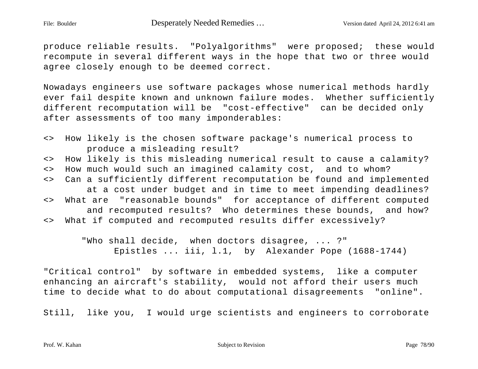produce reliable results. "Polyalgorithms" were proposed; these would recompute in several different ways in the hope that two or three would agree closely enough to be deemed correct.

Nowadays engineers use software packages whose numerical methods hardly ever fail despite known and unknown failure modes. Whether sufficiently different recomputation will be "cost-effective" can be decided only after assessments of too many imponderables:

- <> How likely is the chosen software package's numerical process to produce a misleading result?
- <> How likely is this misleading numerical result to cause a calamity?
- <> How much would such an imagined calamity cost, and to whom?
- <> Can a sufficiently different recomputation be found and implemented at a cost under budget and in time to meet impending deadlines? <> What are "reasonable bounds" for acceptance of different computed and recomputed results? Who determines these bounds, and how? <> What if computed and recomputed results differ excessively?

 "Who shall decide, when doctors disagree, ... ?" Epistles ... iii, l.1, by Alexander Pope (1688-1744)

"Critical control" by software in embedded systems, like a computer enhancing an aircraft's stability, would not afford their users much time to decide what to do about computational disagreements "online".

Still, like you, I would urge scientists and engineers to corroborate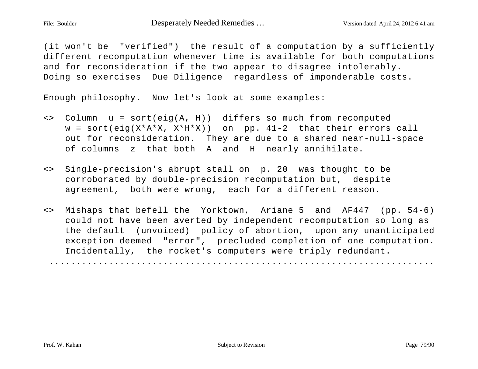(it won't be "verified") the result of a computation by a sufficiently different recomputation whenever time is available for both computations and for reconsideration if the two appear to disagree intolerably. Doing so exercises Due Diligence regardless of imponderable costs.

Enough philosophy. Now let's look at some examples:

- <> Column u = sort(eig(A, H)) differs so much from recomputed  $w = sort(eiq(X*A*X, X*H*X))$  on pp. 41-2 that their errors call out for reconsideration. They are due to a shared near-null-space of columns z that both A and H nearly annihilate.
- <> Single-precision's abrupt stall on p. 20 was thought to be corroborated by double-precision recomputation but, despite agreement, both were wrong, each for a different reason.
- <> Mishaps that befell the Yorktown, Ariane 5 and AF447 (pp. 54-6) could not have been averted by independent recomputation so long as the default (unvoiced) policy of abortion, upon any unanticipated exception deemed "error", precluded completion of one computation. Incidentally, the rocket's computers were triply redundant.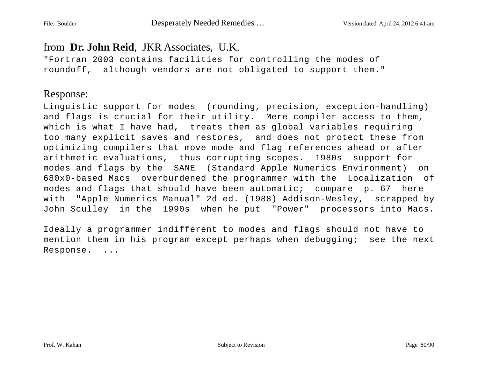#### from **Dr. John Reid**, JKR Associates, U.K.

"Fortran 2003 contains facilities for controlling the modes of roundoff, although vendors are not obligated to support them."

#### Response:

Linguistic support for modes (rounding, precision, exception-handling) and flags is crucial for their utility. Mere compiler access to them, which is what I have had, treats them as global variables requiring too many explicit saves and restores, and does not protect these from optimizing compilers that move mode and flag references ahead or after arithmetic evaluations, thus corrupting scopes. 1980s support for modes and flags by the SANE (Standard Apple Numerics Environment) on 680x0-based Macs overburdened the programmer with the Localization of modes and flags that should have been automatic; compare p. 67 here with "Apple Numerics Manual" 2d ed. (1988) Addison-Wesley, scrapped by John Sculley in the 1990s when he put "Power" processors into Macs.

Ideally a programmer indifferent to modes and flags should not have to mention them in his program except perhaps when debugging; see the next Response. ...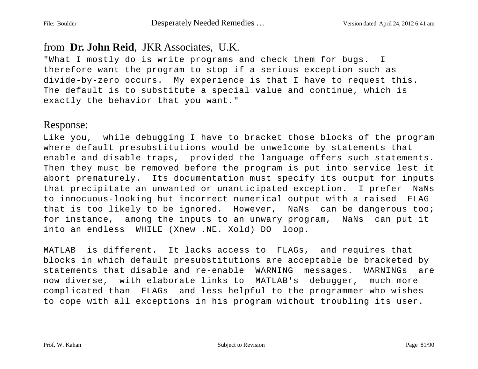#### from **Dr. John Reid**, JKR Associates, U.K.

"What I mostly do is write programs and check them for bugs. I therefore want the program to stop if a serious exception such as divide-by-zero occurs. My experience is that I have to request this. The default is to substitute a special value and continue, which is exactly the behavior that you want."

#### Response:

Like you, while debugging I have to bracket those blocks of the program where default presubstitutions would be unwelcome by statements that enable and disable traps, provided the language offers such statements. Then they must be removed before the program is put into service lest it abort prematurely. Its documentation must specify its output for inputs that precipitate an unwanted or unanticipated exception. I prefer NaNs to innocuous-looking but incorrect numerical output with a raised FLAG that is too likely to be ignored. However, NaNs can be dangerous too; for instance, among the inputs to an unwary program, NaNs can put it into an endless WHILE (Xnew .NE. Xold) DO loop.

MATLAB is different. It lacks access to FLAGs, and requires that blocks in which default presubstitutions are acceptable be bracketed by statements that disable and re-enable WARNING messages. WARNINGs are now diverse, with elaborate links to MATLAB's debugger, much more complicated than FLAGs and less helpful to the programmer who wishes to cope with all exceptions in his program without troubling its user.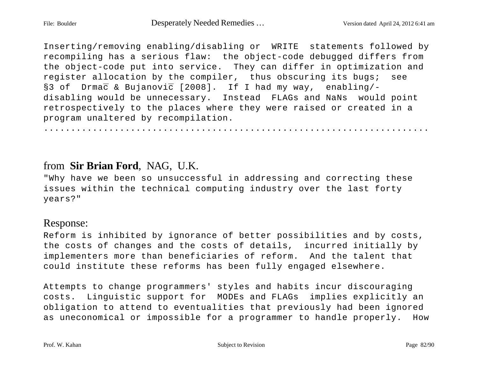Inserting/removing enabling/disabling or WRITE statements followed by recompiling has a serious flaw: the object-code debugged differs from the object-code put into service. They can differ in optimization and register allocation by the compiler, thus obscuring its bugs; see §3 of Drmac & Bujanovic [2008]. If I had my way, enabling/disabling would be unnecessary. Instead FLAGs and NaNs would point retrospectively to the places where they were raised or created in a program unaltered by recompilation.

.......................................................................

#### from **Sir Brian Ford**, NAG, U.K.

"Why have we been so unsuccessful in addressing and correcting these issues within the technical computing industry over the last forty years?"

#### Response:

Reform is inhibited by ignorance of better possibilities and by costs, the costs of changes and the costs of details, incurred initially by implementers more than beneficiaries of reform. And the talent that could institute these reforms has been fully engaged elsewhere.

Attempts to change programmers' styles and habits incur discouraging costs. Linguistic support for MODEs and FLAGs implies explicitly an obligation to attend to eventualities that previously had been ignored as uneconomical or impossible for a programmer to handle properly. How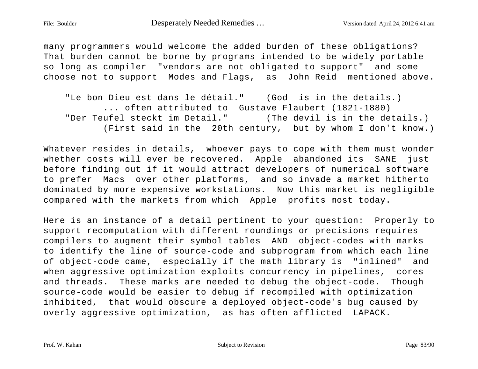many programmers would welcome the added burden of these obligations? That burden cannot be borne by programs intended to be widely portable so long as compiler "vendors are not obligated to support" and some choose not to support Modes and Flags, as John Reid mentioned above.

 "Le bon Dieu est dans le détail." (God is in the details.) ... often attributed to Gustave Flaubert (1821-1880) "Der Teufel steckt im Detail." (The devil is in the details.) (First said in the 20th century, but by whom I don't know.)

Whatever resides in details, whoever pays to cope with them must wonder whether costs will ever be recovered. Apple abandoned its SANE just before finding out if it would attract developers of numerical software to prefer Macs over other platforms, and so invade a market hitherto dominated by more expensive workstations. Now this market is negligible compared with the markets from which Apple profits most today.

Here is an instance of a detail pertinent to your question: Properly to support recomputation with different roundings or precisions requires compilers to augment their symbol tables AND object-codes with marks to identify the line of source-code and subprogram from which each line of object-code came, especially if the math library is "inlined" and when aggressive optimization exploits concurrency in pipelines, cores and threads. These marks are needed to debug the object-code. Though source-code would be easier to debug if recompiled with optimization inhibited, that would obscure a deployed object-code's bug caused by overly aggressive optimization, as has often afflicted LAPACK.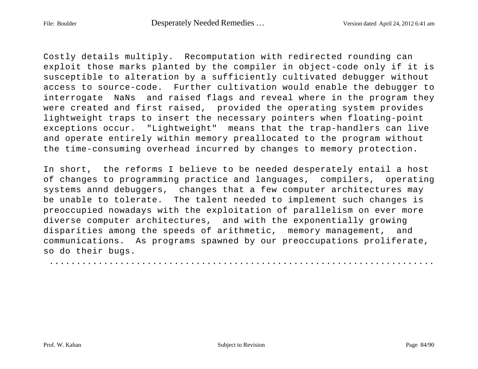Costly details multiply. Recomputation with redirected rounding can exploit those marks planted by the compiler in object-code only if it is susceptible to alteration by a sufficiently cultivated debugger without access to source-code. Further cultivation would enable the debugger to interrogate NaNs and raised flags and reveal where in the program they were created and first raised, provided the operating system provides lightweight traps to insert the necessary pointers when floating-point exceptions occur. "Lightweight" means that the trap-handlers can live and operate entirely within memory preallocated to the program without the time-consuming overhead incurred by changes to memory protection.

In short, the reforms I believe to be needed desperately entail a host of changes to programming practice and languages, compilers, operating systems annd debuggers, changes that a few computer architectures may be unable to tolerate. The talent needed to implement such changes is preoccupied nowadays with the exploitation of parallelism on ever more diverse computer architectures, and with the exponentially growing disparities among the speeds of arithmetic, memory management, and communications. As programs spawned by our preoccupations proliferate, so do their bugs.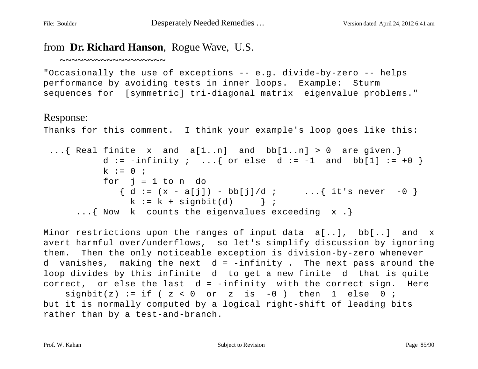#### from **Dr. Richard Hanson**, Rogue Wave, U.S.

 $\sim\sim\sim\sim\sim\sim\sim\sim\sim\sim\sim\sim\sim\sim\sim$ 

"Occasionally the use of exceptions -- e.g. divide-by-zero -- helps performance by avoiding tests in inner loops. Example: Sturm sequences for [symmetric] tri-diagonal matrix eigenvalue problems."

#### Response:

Thanks for this comment. I think your example's loop goes like this:

```
...{ Real finite x and a[1..n] and bb[1..n] > 0 are given.}
     d := -intinity ; ...{ or else d := -1 and bb[1] := +0 }
     k := 0 ;
     for i = 1 to n do
        \{ d := (x - a[j]) - bb[j]/d ; \dots, \{ it's never -0 \}k := k + \text{sigmoid}(d) } ;
...{ Now k counts the eigenvalues exceeding x.}
```
Minor restrictions upon the ranges of input data a[..], bb[..] and x avert harmful over/underflows, so let's simplify discussion by ignoring them. Then the only noticeable exception is division-by-zero whenever d vanishes, making the next  $d = -\inf\{ \text{inity} \}$ . The next pass around the loop divides by this infinite d to get a new finite d that is quite correct, or else the last  $d = -\inf\{ \text{inity} \}$  with the correct sign. Here signbit(z) := if ( $z < 0$  or z is -0) then 1 else 0; but it is normally computed by a logical right-shift of leading bits rather than by a test-and-branch.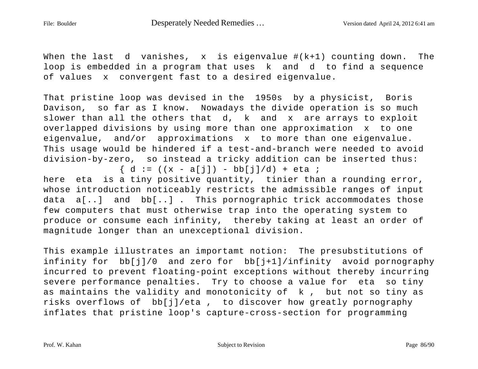When the last  $d$  vanishes,  $x$  is eigenvalue  $\#(k+1)$  counting down. The loop is embedded in a program that uses k and d to find a sequence of values x convergent fast to a desired eigenvalue.

That pristine loop was devised in the 1950s by a physicist, Boris Davison, so far as I know. Nowadays the divide operation is so much slower than all the others that d, k and x are arrays to exploit overlapped divisions by using more than one approximation x to one eigenvalue, and/or approximations x to more than one eigenvalue. This usage would be hindered if a test-and-branch were needed to avoid division-by-zero, so instead a tricky addition can be inserted thus:  $\{ d := ((x - a[j]) - bb[j]/d) + eta ;$ 

here eta is a tiny positive quantity, tinier than a rounding error, whose introduction noticeably restricts the admissible ranges of input data a[..] and bb[..] . This pornographic trick accommodates those few computers that must otherwise trap into the operating system to produce or consume each infinity, thereby taking at least an order of magnitude longer than an unexceptional division.

This example illustrates an importamt notion: The presubstitutions of infinity for bb[j]/0 and zero for bb[j+1]/infinity avoid pornography incurred to prevent floating-point exceptions without thereby incurring severe performance penalties. Try to choose a value for eta so tiny as maintains the validity and monotonicity of k , but not so tiny as risks overflows of bb[j]/eta , to discover how greatly pornography inflates that pristine loop's capture-cross-section for programming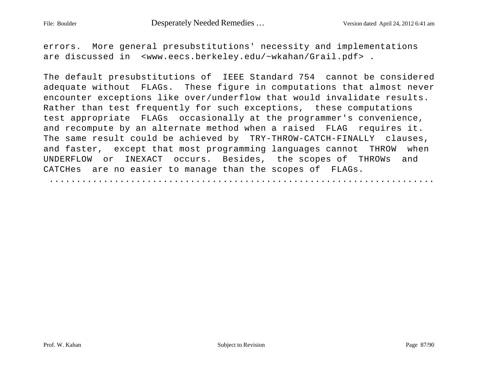errors. More general presubstitutions' necessity and implementations are discussed in <www.eecs.berkeley.edu/~wkahan/Grail.pdf> .

The default presubstitutions of IEEE Standard 754 cannot be considered adequate without FLAGs. These figure in computations that almost never encounter exceptions like over/underflow that would invalidate results. Rather than test frequently for such exceptions, these computations test appropriate FLAGs occasionally at the programmer's convenience, and recompute by an alternate method when a raised FLAG requires it. The same result could be achieved by TRY-THROW-CATCH-FINALLY clauses, and faster, except that most programming languages cannot THROW when UNDERFLOW or INEXACT occurs. Besides, the scopes of THROWs and CATCHes are no easier to manage than the scopes of FLAGs.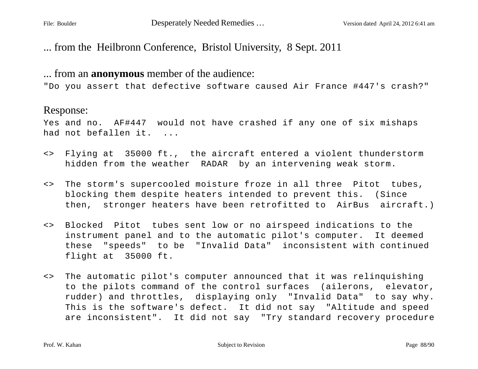... from the Heilbronn Conference, Bristol University, 8 Sept. 2011

#### ... from an **anonymous** member of the audience:

"Do you assert that defective software caused Air France #447's crash?"

#### Response:

Yes and no. AF#447 would not have crashed if any one of six mishaps had not befallen it. ...

- <> Flying at 35000 ft., the aircraft entered a violent thunderstorm hidden from the weather RADAR by an intervening weak storm.
- <> The storm's supercooled moisture froze in all three Pitot tubes, blocking them despite heaters intended to prevent this. (Since then, stronger heaters have been retrofitted to AirBus aircraft.)
- <> Blocked Pitot tubes sent low or no airspeed indications to the instrument panel and to the automatic pilot's computer. It deemed these "speeds" to be "Invalid Data" inconsistent with continued flight at 35000 ft.
- <> The automatic pilot's computer announced that it was relinquishing to the pilots command of the control surfaces (ailerons, elevator, rudder) and throttles, displaying only "Invalid Data" to say why. This is the software's defect. It did not say "Altitude and speed are inconsistent". It did not say "Try standard recovery procedure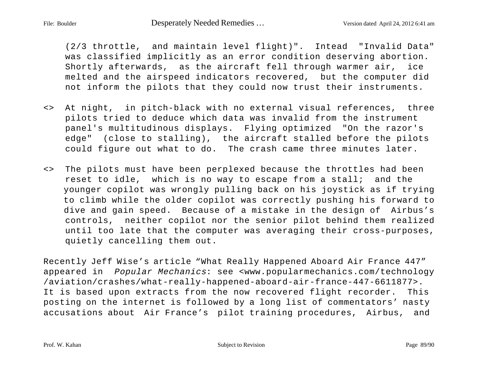(2/3 throttle, and maintain level flight)". Intead "Invalid Data" was classified implicitly as an error condition deserving abortion. Shortly afterwards, as the aircraft fell through warmer air, ice melted and the airspeed indicators recovered, but the computer did not inform the pilots that they could now trust their instruments.

- <> At night, in pitch-black with no external visual references, three pilots tried to deduce which data was invalid from the instrument panel's multitudinous displays. Flying optimized "On the razor's edge" (close to stalling), the aircraft stalled before the pilots could figure out what to do. The crash came three minutes later.
- <> The pilots must have been perplexed because the throttles had been reset to idle, which is no way to escape from a stall; and the younger copilot was wrongly pulling back on his joystick as if trying to climb while the older copilot was correctly pushing his forward to dive and gain speed. Because of a mistake in the design of Airbus's controls, neither copilot nor the senior pilot behind them realized until too late that the computer was averaging their cross-purposes, quietly cancelling them out.

Recently Jeff Wise's article "What Really Happened Aboard Air France 447" appeared in Popular Mechanics: see <www.popularmechanics.com/technology /aviation/crashes/what-really-happened-aboard-air-france-447-6611877>. It is based upon extracts from the now recovered flight recorder. This posting on the internet is followed by a long list of commentators' nasty accusations about Air France's pilot training procedures, Airbus, and